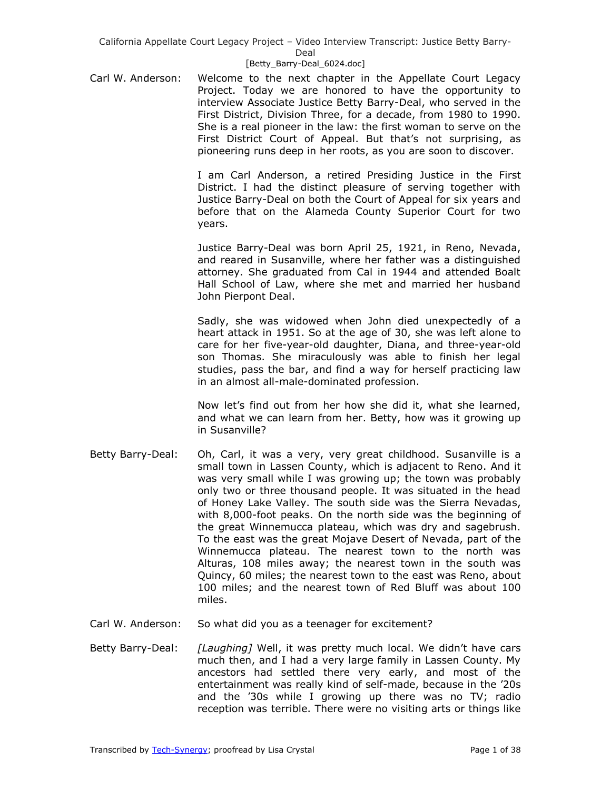### [Betty\_Barry-Deal\_6024.doc]

Carl W. Anderson: Welcome to the next chapter in the Appellate Court Legacy Project. Today we are honored to have the opportunity to interview Associate Justice Betty Barry-Deal, who served in the First District, Division Three, for a decade, from 1980 to 1990. She is a real pioneer in the law: the first woman to serve on the First District Court of Appeal. But that's not surprising, as pioneering runs deep in her roots, as you are soon to discover.

> I am Carl Anderson, a retired Presiding Justice in the First District. I had the distinct pleasure of serving together with Justice Barry-Deal on both the Court of Appeal for six years and before that on the Alameda County Superior Court for two years.

> Justice Barry-Deal was born April 25, 1921, in Reno, Nevada, and reared in Susanville, where her father was a distinguished attorney. She graduated from Cal in 1944 and attended Boalt Hall School of Law, where she met and married her husband John Pierpont Deal.

> Sadly, she was widowed when John died unexpectedly of a heart attack in 1951. So at the age of 30, she was left alone to care for her five-year-old daughter, Diana, and three-year-old son Thomas. She miraculously was able to finish her legal studies, pass the bar, and find a way for herself practicing law in an almost all-male-dominated profession.

> Now let's find out from her how she did it, what she learned, and what we can learn from her. Betty, how was it growing up in Susanville?

- Betty Barry-Deal: Oh, Carl, it was a very, very great childhood. Susanville is a small town in Lassen County, which is adjacent to Reno. And it was very small while I was growing up; the town was probably only two or three thousand people. It was situated in the head of Honey Lake Valley. The south side was the Sierra Nevadas, with 8,000-foot peaks. On the north side was the beginning of the great Winnemucca plateau, which was dry and sagebrush. To the east was the great Mojave Desert of Nevada, part of the Winnemucca plateau. The nearest town to the north was Alturas, 108 miles away; the nearest town in the south was Quincy, 60 miles; the nearest town to the east was Reno, about 100 miles; and the nearest town of Red Bluff was about 100 miles.
- Carl W. Anderson: So what did you as a teenager for excitement?
- Betty Barry-Deal: *[Laughing]* Well, it was pretty much local. We didn't have cars much then, and I had a very large family in Lassen County. My ancestors had settled there very early, and most of the entertainment was really kind of self-made, because in the '20s and the '30s while I growing up there was no TV; radio reception was terrible. There were no visiting arts or things like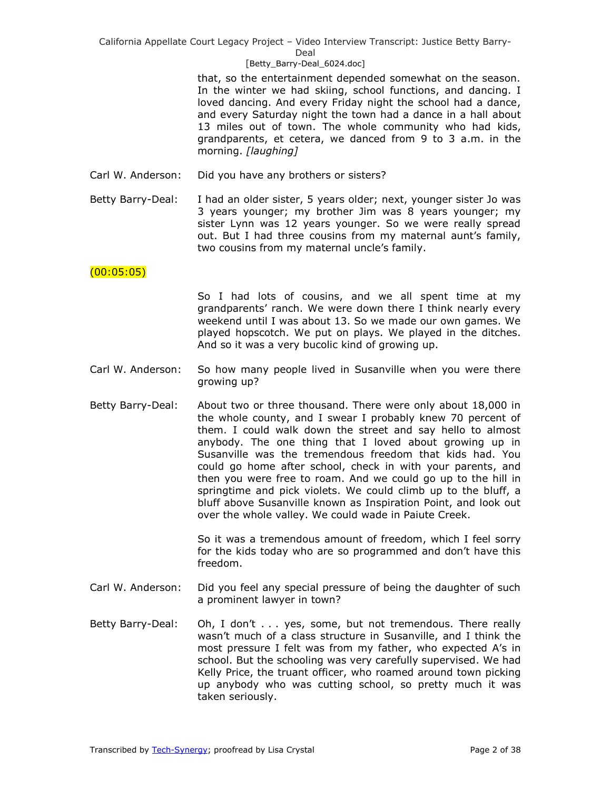### [Betty\_Barry-Deal\_6024.doc]

that, so the entertainment depended somewhat on the season. In the winter we had skiing, school functions, and dancing. I loved dancing. And every Friday night the school had a dance, and every Saturday night the town had a dance in a hall about 13 miles out of town. The whole community who had kids, grandparents, et cetera, we danced from 9 to 3 a.m. in the morning. *[laughing]*

- Carl W. Anderson: Did you have any brothers or sisters?
- Betty Barry-Deal: I had an older sister, 5 years older; next, younger sister Jo was 3 years younger; my brother Jim was 8 years younger; my sister Lynn was 12 years younger. So we were really spread out. But I had three cousins from my maternal aunt's family, two cousins from my maternal uncle's family.

## (00:05:05)

So I had lots of cousins, and we all spent time at my grandparents' ranch. We were down there I think nearly every weekend until I was about 13. So we made our own games. We played hopscotch. We put on plays. We played in the ditches. And so it was a very bucolic kind of growing up.

- Carl W. Anderson: So how many people lived in Susanville when you were there growing up?
- Betty Barry-Deal: About two or three thousand. There were only about 18,000 in the whole county, and I swear I probably knew 70 percent of them. I could walk down the street and say hello to almost anybody. The one thing that I loved about growing up in Susanville was the tremendous freedom that kids had. You could go home after school, check in with your parents, and then you were free to roam. And we could go up to the hill in springtime and pick violets. We could climb up to the bluff, a bluff above Susanville known as Inspiration Point, and look out over the whole valley. We could wade in Paiute Creek.

So it was a tremendous amount of freedom, which I feel sorry for the kids today who are so programmed and don't have this freedom.

- Carl W. Anderson: Did you feel any special pressure of being the daughter of such a prominent lawyer in town?
- Betty Barry-Deal: Oh, I don't . . . yes, some, but not tremendous. There really wasn't much of a class structure in Susanville, and I think the most pressure I felt was from my father, who expected A's in school. But the schooling was very carefully supervised. We had Kelly Price, the truant officer, who roamed around town picking up anybody who was cutting school, so pretty much it was taken seriously.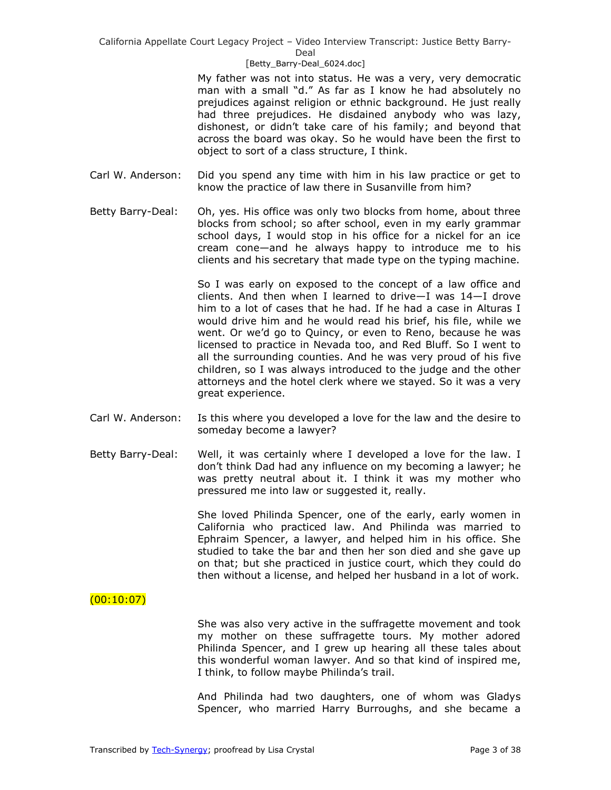### [Betty\_Barry-Deal\_6024.doc]

My father was not into status. He was a very, very democratic man with a small "d." As far as I know he had absolutely no prejudices against religion or ethnic background. He just really had three prejudices. He disdained anybody who was lazy, dishonest, or didn't take care of his family; and beyond that across the board was okay. So he would have been the first to object to sort of a class structure, I think.

- Carl W. Anderson: Did you spend any time with him in his law practice or get to know the practice of law there in Susanville from him?
- Betty Barry-Deal: Oh, yes. His office was only two blocks from home, about three blocks from school; so after school, even in my early grammar school days, I would stop in his office for a nickel for an ice cream cone—and he always happy to introduce me to his clients and his secretary that made type on the typing machine.

So I was early on exposed to the concept of a law office and clients. And then when I learned to drive—I was 14—I drove him to a lot of cases that he had. If he had a case in Alturas I would drive him and he would read his brief, his file, while we went. Or we'd go to Quincy, or even to Reno, because he was licensed to practice in Nevada too, and Red Bluff. So I went to all the surrounding counties. And he was very proud of his five children, so I was always introduced to the judge and the other attorneys and the hotel clerk where we stayed. So it was a very great experience.

- Carl W. Anderson: Is this where you developed a love for the law and the desire to someday become a lawyer?
- Betty Barry-Deal: Well, it was certainly where I developed a love for the law. I don't think Dad had any influence on my becoming a lawyer; he was pretty neutral about it. I think it was my mother who pressured me into law or suggested it, really.

She loved Philinda Spencer, one of the early, early women in California who practiced law. And Philinda was married to Ephraim Spencer, a lawyer, and helped him in his office. She studied to take the bar and then her son died and she gave up on that; but she practiced in justice court, which they could do then without a license, and helped her husband in a lot of work.

# $(00:10:07)$

She was also very active in the suffragette movement and took my mother on these suffragette tours. My mother adored Philinda Spencer, and I grew up hearing all these tales about this wonderful woman lawyer. And so that kind of inspired me, I think, to follow maybe Philinda's trail.

And Philinda had two daughters, one of whom was Gladys Spencer, who married Harry Burroughs, and she became a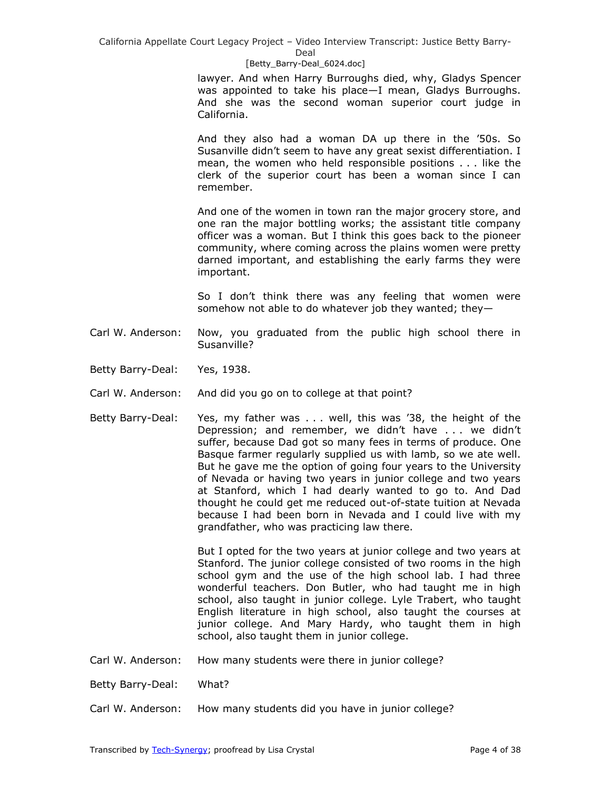#### [Betty\_Barry-Deal\_6024.doc]

lawyer. And when Harry Burroughs died, why, Gladys Spencer was appointed to take his place—I mean, Gladys Burroughs. And she was the second woman superior court judge in California.

And they also had a woman DA up there in the '50s. So Susanville didn't seem to have any great sexist differentiation. I mean, the women who held responsible positions . . . like the clerk of the superior court has been a woman since I can remember.

And one of the women in town ran the major grocery store, and one ran the major bottling works; the assistant title company officer was a woman. But I think this goes back to the pioneer community, where coming across the plains women were pretty darned important, and establishing the early farms they were important.

So I don't think there was any feeling that women were somehow not able to do whatever job they wanted; they—

- Carl W. Anderson: Now, you graduated from the public high school there in Susanville?
- Betty Barry-Deal: Yes, 1938.
- Carl W. Anderson: And did you go on to college at that point?
- Betty Barry-Deal: Yes, my father was . . . well, this was '38, the height of the Depression; and remember, we didn't have . . . we didn't suffer, because Dad got so many fees in terms of produce. One Basque farmer regularly supplied us with lamb, so we ate well. But he gave me the option of going four years to the University of Nevada or having two years in junior college and two years at Stanford, which I had dearly wanted to go to. And Dad thought he could get me reduced out-of-state tuition at Nevada because I had been born in Nevada and I could live with my grandfather, who was practicing law there.

But I opted for the two years at junior college and two years at Stanford. The junior college consisted of two rooms in the high school gym and the use of the high school lab. I had three wonderful teachers. Don Butler, who had taught me in high school, also taught in junior college. Lyle Trabert, who taught English literature in high school, also taught the courses at junior college. And Mary Hardy, who taught them in high school, also taught them in junior college.

Carl W. Anderson: How many students were there in junior college?

Betty Barry-Deal: What?

Carl W. Anderson: How many students did you have in junior college?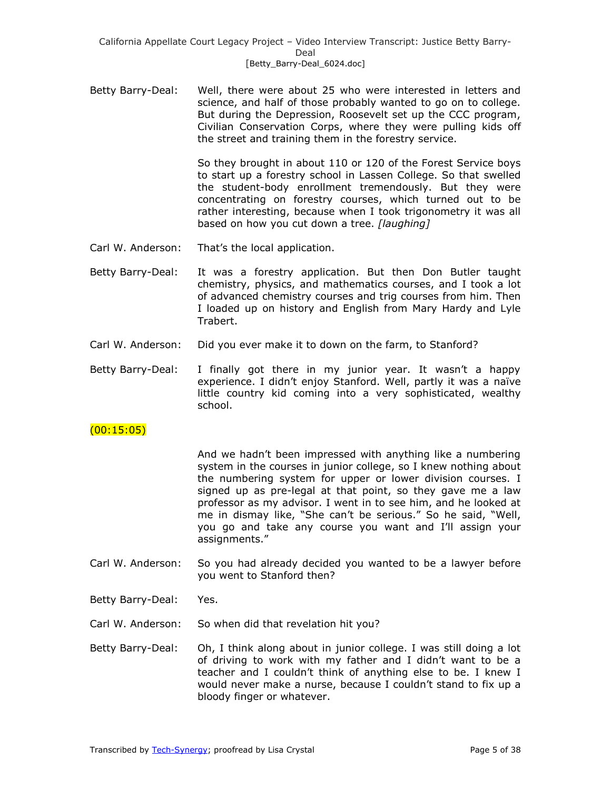Betty Barry-Deal: Well, there were about 25 who were interested in letters and science, and half of those probably wanted to go on to college. But during the Depression, Roosevelt set up the CCC program, Civilian Conservation Corps, where they were pulling kids off the street and training them in the forestry service.

> So they brought in about 110 or 120 of the Forest Service boys to start up a forestry school in Lassen College. So that swelled the student-body enrollment tremendously. But they were concentrating on forestry courses, which turned out to be rather interesting, because when I took trigonometry it was all based on how you cut down a tree. *[laughing]*

- Carl W. Anderson: That's the local application.
- Betty Barry-Deal: It was a forestry application. But then Don Butler taught chemistry, physics, and mathematics courses, and I took a lot of advanced chemistry courses and trig courses from him. Then I loaded up on history and English from Mary Hardy and Lyle Trabert.
- Carl W. Anderson: Did you ever make it to down on the farm, to Stanford?
- Betty Barry-Deal: I finally got there in my junior year. It wasn't a happy experience. I didn't enjoy Stanford. Well, partly it was a naïve little country kid coming into a very sophisticated, wealthy school.

# $(00:15:05)$

And we hadn't been impressed with anything like a numbering system in the courses in junior college, so I knew nothing about the numbering system for upper or lower division courses. I signed up as pre-legal at that point, so they gave me a law professor as my advisor. I went in to see him, and he looked at me in dismay like, "She can't be serious." So he said, "Well, you go and take any course you want and I'll assign your assignments.‖

- Carl W. Anderson: So you had already decided you wanted to be a lawyer before you went to Stanford then?
- Betty Barry-Deal: Yes.
- Carl W. Anderson: So when did that revelation hit you?
- Betty Barry-Deal: Oh, I think along about in junior college. I was still doing a lot of driving to work with my father and I didn't want to be a teacher and I couldn't think of anything else to be. I knew I would never make a nurse, because I couldn't stand to fix up a bloody finger or whatever.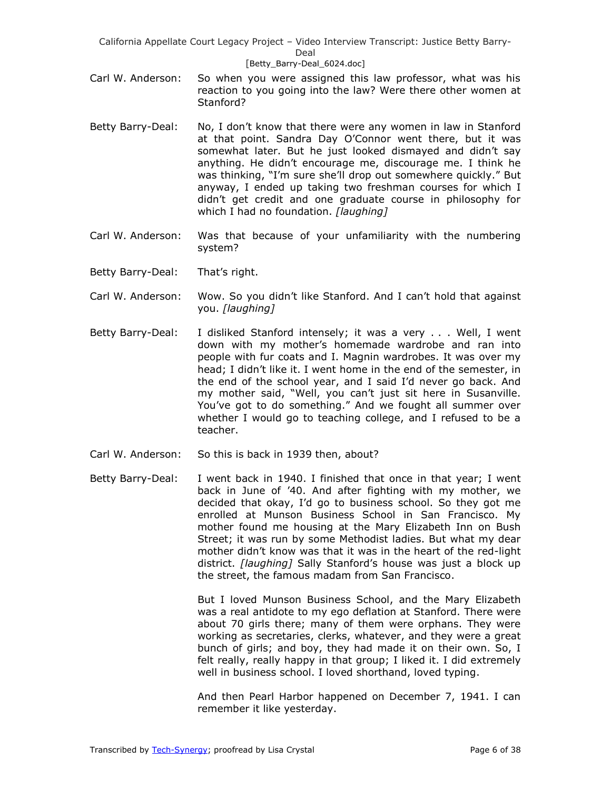### [Betty\_Barry-Deal\_6024.doc]

- Carl W. Anderson: So when you were assigned this law professor, what was his reaction to you going into the law? Were there other women at Stanford?
- Betty Barry-Deal: No, I don't know that there were any women in law in Stanford at that point. Sandra Day O'Connor went there, but it was somewhat later. But he just looked dismayed and didn't say anything. He didn't encourage me, discourage me. I think he was thinking, "I'm sure she'll drop out somewhere quickly." But anyway, I ended up taking two freshman courses for which I didn't get credit and one graduate course in philosophy for which I had no foundation. *[laughing]*
- Carl W. Anderson: Was that because of your unfamiliarity with the numbering system?
- Betty Barry-Deal: That's right.
- Carl W. Anderson: Wow. So you didn't like Stanford. And I can't hold that against you. *[laughing]*
- Betty Barry-Deal: I disliked Stanford intensely; it was a very . . . Well, I went down with my mother's homemade wardrobe and ran into people with fur coats and I. Magnin wardrobes. It was over my head; I didn't like it. I went home in the end of the semester, in the end of the school year, and I said I'd never go back. And my mother said, "Well, you can't just sit here in Susanville. You've got to do something." And we fought all summer over whether I would go to teaching college, and I refused to be a teacher.
- Carl W. Anderson: So this is back in 1939 then, about?
- Betty Barry-Deal: I went back in 1940. I finished that once in that year; I went back in June of '40. And after fighting with my mother, we decided that okay, I'd go to business school. So they got me enrolled at Munson Business School in San Francisco. My mother found me housing at the Mary Elizabeth Inn on Bush Street; it was run by some Methodist ladies. But what my dear mother didn't know was that it was in the heart of the red-light district. *[laughing]* Sally Stanford's house was just a block up the street, the famous madam from San Francisco.

But I loved Munson Business School, and the Mary Elizabeth was a real antidote to my ego deflation at Stanford. There were about 70 girls there; many of them were orphans. They were working as secretaries, clerks, whatever, and they were a great bunch of girls; and boy, they had made it on their own. So, I felt really, really happy in that group; I liked it. I did extremely well in business school. I loved shorthand, loved typing.

And then Pearl Harbor happened on December 7, 1941. I can remember it like yesterday.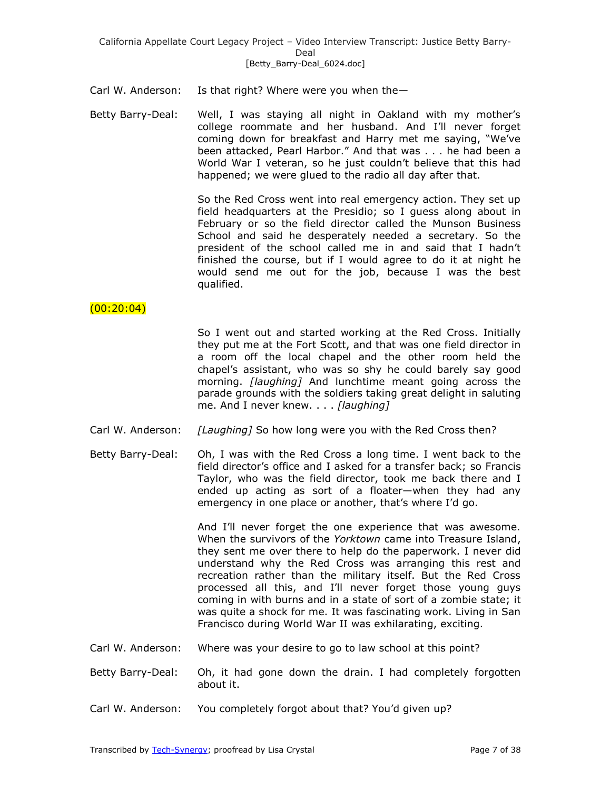Carl W. Anderson: Is that right? Where were you when the—

Betty Barry-Deal: Well, I was staying all night in Oakland with my mother's college roommate and her husband. And I'll never forget coming down for breakfast and Harry met me saying, "We've been attacked, Pearl Harbor." And that was . . . he had been a World War I veteran, so he just couldn't believe that this had happened; we were glued to the radio all day after that.

> So the Red Cross went into real emergency action. They set up field headquarters at the Presidio; so I guess along about in February or so the field director called the Munson Business School and said he desperately needed a secretary. So the president of the school called me in and said that I hadn't finished the course, but if I would agree to do it at night he would send me out for the job, because I was the best qualified.

# $(00:20:04)$

So I went out and started working at the Red Cross. Initially they put me at the Fort Scott, and that was one field director in a room off the local chapel and the other room held the chapel's assistant, who was so shy he could barely say good morning. *[laughing]* And lunchtime meant going across the parade grounds with the soldiers taking great delight in saluting me. And I never knew. . . . *[laughing]*

- Carl W. Anderson: *[Laughing]* So how long were you with the Red Cross then?
- Betty Barry-Deal: Oh, I was with the Red Cross a long time. I went back to the field director's office and I asked for a transfer back; so Francis Taylor, who was the field director, took me back there and I ended up acting as sort of a floater—when they had any emergency in one place or another, that's where I'd go.

And I'll never forget the one experience that was awesome. When the survivors of the *Yorktown* came into Treasure Island, they sent me over there to help do the paperwork. I never did understand why the Red Cross was arranging this rest and recreation rather than the military itself. But the Red Cross processed all this, and I'll never forget those young guys coming in with burns and in a state of sort of a zombie state; it was quite a shock for me. It was fascinating work. Living in San Francisco during World War II was exhilarating, exciting.

- Carl W. Anderson: Where was your desire to go to law school at this point?
- Betty Barry-Deal: Oh, it had gone down the drain. I had completely forgotten about it.
- Carl W. Anderson: You completely forgot about that? You'd given up?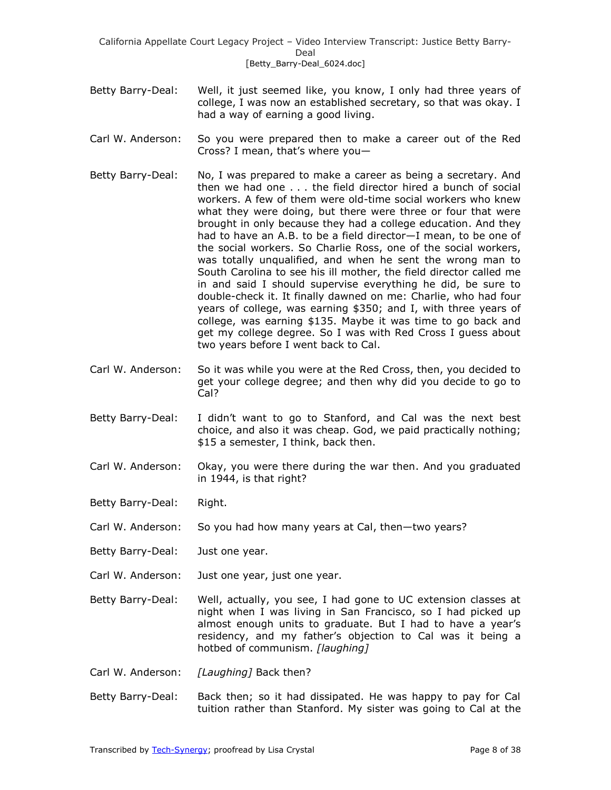California Appellate Court Legacy Project – Video Interview Transcript: Justice Betty Barry-Deal [Betty\_Barry-Deal\_6024.doc]

- Betty Barry-Deal: Well, it just seemed like, you know, I only had three years of college, I was now an established secretary, so that was okay. I had a way of earning a good living.
- Carl W. Anderson: So you were prepared then to make a career out of the Red Cross? I mean, that's where you—
- Betty Barry-Deal: No, I was prepared to make a career as being a secretary. And then we had one . . . the field director hired a bunch of social workers. A few of them were old-time social workers who knew what they were doing, but there were three or four that were brought in only because they had a college education. And they had to have an A.B. to be a field director—I mean, to be one of the social workers. So Charlie Ross, one of the social workers, was totally unqualified, and when he sent the wrong man to South Carolina to see his ill mother, the field director called me in and said I should supervise everything he did, be sure to double-check it. It finally dawned on me: Charlie, who had four years of college, was earning \$350; and I, with three years of college, was earning \$135. Maybe it was time to go back and get my college degree. So I was with Red Cross I guess about two years before I went back to Cal.
- Carl W. Anderson: So it was while you were at the Red Cross, then, you decided to get your college degree; and then why did you decide to go to Cal?
- Betty Barry-Deal: I didn't want to go to Stanford, and Cal was the next best choice, and also it was cheap. God, we paid practically nothing; \$15 a semester, I think, back then.
- Carl W. Anderson: Okay, you were there during the war then. And you graduated in 1944, is that right?
- Betty Barry-Deal: Right.
- Carl W. Anderson: So you had how many years at Cal, then—two years?
- Betty Barry-Deal: Just one year.
- Carl W. Anderson: Just one year, just one year.
- Betty Barry-Deal: Well, actually, you see, I had gone to UC extension classes at night when I was living in San Francisco, so I had picked up almost enough units to graduate. But I had to have a year's residency, and my father's objection to Cal was it being a hotbed of communism. *[laughing]*
- Carl W. Anderson: *[Laughing]* Back then?
- Betty Barry-Deal: Back then; so it had dissipated. He was happy to pay for Cal tuition rather than Stanford. My sister was going to Cal at the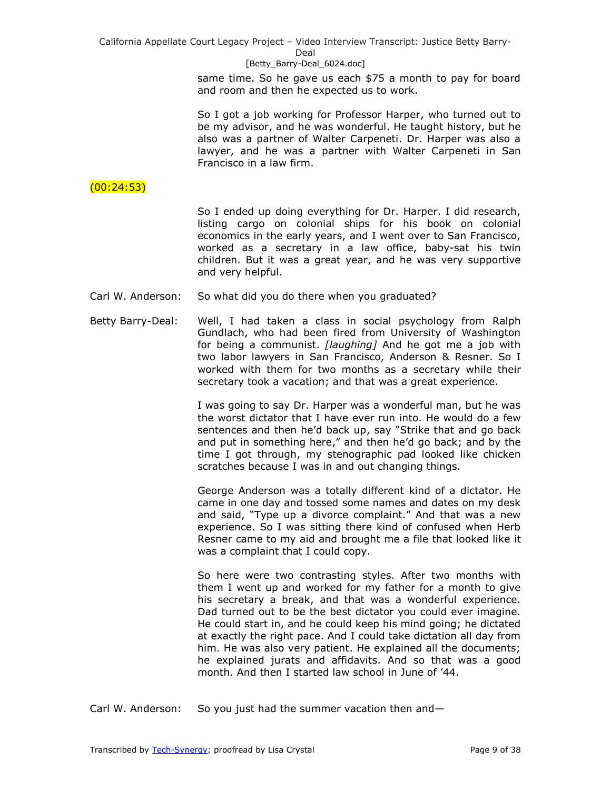### [Betty\_Barry-Deal\_6024.doc]

same time. So he gave us each \$75 a month to pay for board and room and then he expected us to work.

So I got a job working for Professor Harper, who turned out to be my advisor, and he was wonderful. He taught history, but he also was a partner of Walter Carpeneti. Dr. Harper was also a lawyer, and he was a partner with Walter Carpeneti in San Francisco in a law firm.

# $(00:24:53)$

So I ended up doing everything for Dr. Harper. I did research, listing cargo on colonial ships for his book on colonial economics in the early years, and I went over to San Francisco, worked as a secretary in a law office, baby-sat his twin children. But it was a great year, and he was very supportive and very helpful.

- Carl W. Anderson: So what did you do there when you graduated?
- Betty Barry-Deal: Well, I had taken a class in social psychology from Ralph Gundlach, who had been fired from University of Washington for being a communist. *[laughing]* And he got me a job with two labor lawyers in San Francisco, Anderson & Resner. So I worked with them for two months as a secretary while their secretary took a vacation; and that was a great experience.

I was going to say Dr. Harper was a wonderful man, but he was the worst dictator that I have ever run into. He would do a few sentences and then he'd back up, say "Strike that and go back and put in something here," and then he'd go back; and by the time I got through, my stenographic pad looked like chicken scratches because I was in and out changing things.

George Anderson was a totally different kind of a dictator. He came in one day and tossed some names and dates on my desk and said, "Type up a divorce complaint." And that was a new experience. So I was sitting there kind of confused when Herb Resner came to my aid and brought me a file that looked like it was a complaint that I could copy.

So here were two contrasting styles. After two months with them I went up and worked for my father for a month to give his secretary a break, and that was a wonderful experience. Dad turned out to be the best dictator you could ever imagine. He could start in, and he could keep his mind going; he dictated at exactly the right pace. And I could take dictation all day from him. He was also very patient. He explained all the documents; he explained jurats and affidavits. And so that was a good month. And then I started law school in June of '44.

Carl W. Anderson: So you just had the summer vacation then and—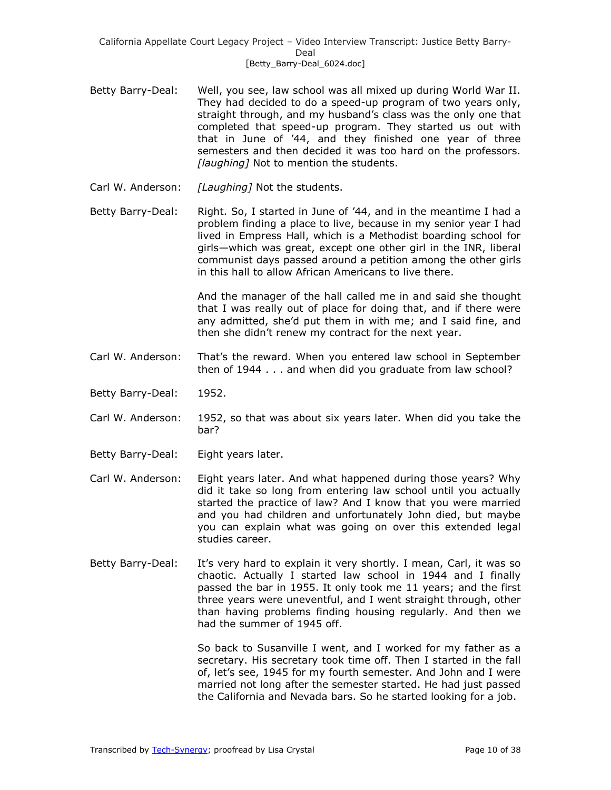- Betty Barry-Deal: Well, you see, law school was all mixed up during World War II. They had decided to do a speed-up program of two years only, straight through, and my husband's class was the only one that completed that speed-up program. They started us out with that in June of '44, and they finished one year of three semesters and then decided it was too hard on the professors. *[laughing]* Not to mention the students.
- Carl W. Anderson: *[Laughing]* Not the students.
- Betty Barry-Deal: Right. So, I started in June of '44, and in the meantime I had a problem finding a place to live, because in my senior year I had lived in Empress Hall, which is a Methodist boarding school for girls—which was great, except one other girl in the INR, liberal communist days passed around a petition among the other girls in this hall to allow African Americans to live there.

And the manager of the hall called me in and said she thought that I was really out of place for doing that, and if there were any admitted, she'd put them in with me; and I said fine, and then she didn't renew my contract for the next year.

- Carl W. Anderson: That's the reward. When you entered law school in September then of 1944 . . . and when did you graduate from law school?
- Betty Barry-Deal: 1952.
- Carl W. Anderson: 1952, so that was about six years later. When did you take the bar?
- Betty Barry-Deal: Eight years later.
- Carl W. Anderson: Eight years later. And what happened during those years? Why did it take so long from entering law school until you actually started the practice of law? And I know that you were married and you had children and unfortunately John died, but maybe you can explain what was going on over this extended legal studies career.
- Betty Barry-Deal: It's very hard to explain it very shortly. I mean, Carl, it was so chaotic. Actually I started law school in 1944 and I finally passed the bar in 1955. It only took me 11 years; and the first three years were uneventful, and I went straight through, other than having problems finding housing regularly. And then we had the summer of 1945 off.

So back to Susanville I went, and I worked for my father as a secretary. His secretary took time off. Then I started in the fall of, let's see, 1945 for my fourth semester. And John and I were married not long after the semester started. He had just passed the California and Nevada bars. So he started looking for a job.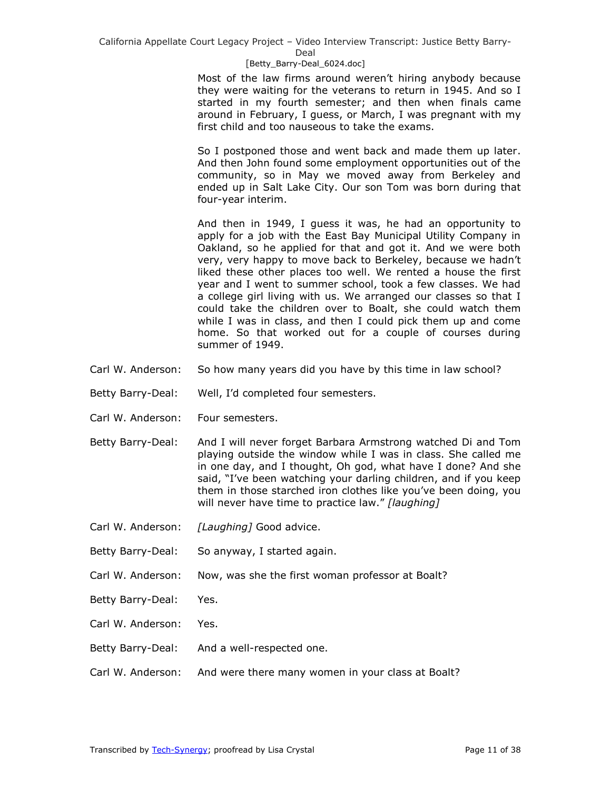Deal

#### [Betty\_Barry-Deal\_6024.doc]

Most of the law firms around weren't hiring anybody because they were waiting for the veterans to return in 1945. And so I started in my fourth semester; and then when finals came around in February, I guess, or March, I was pregnant with my first child and too nauseous to take the exams.

So I postponed those and went back and made them up later. And then John found some employment opportunities out of the community, so in May we moved away from Berkeley and ended up in Salt Lake City. Our son Tom was born during that four-year interim.

And then in 1949, I guess it was, he had an opportunity to apply for a job with the East Bay Municipal Utility Company in Oakland, so he applied for that and got it. And we were both very, very happy to move back to Berkeley, because we hadn't liked these other places too well. We rented a house the first year and I went to summer school, took a few classes. We had a college girl living with us. We arranged our classes so that I could take the children over to Boalt, she could watch them while I was in class, and then I could pick them up and come home. So that worked out for a couple of courses during summer of 1949.

- Carl W. Anderson: So how many years did you have by this time in law school?
- Betty Barry-Deal: Well, I'd completed four semesters.
- Carl W. Anderson: Four semesters.
- Betty Barry-Deal: And I will never forget Barbara Armstrong watched Di and Tom playing outside the window while I was in class. She called me in one day, and I thought, Oh god, what have I done? And she said, "I've been watching your darling children, and if you keep them in those starched iron clothes like you've been doing, you will never have time to practice law." [laughing]
- Carl W. Anderson: *[Laughing]* Good advice.
- Betty Barry-Deal: So anyway, I started again.
- Carl W. Anderson: Now, was she the first woman professor at Boalt?
- Betty Barry-Deal: Yes.
- Carl W. Anderson: Yes.
- Betty Barry-Deal: And a well-respected one.
- Carl W. Anderson: And were there many women in your class at Boalt?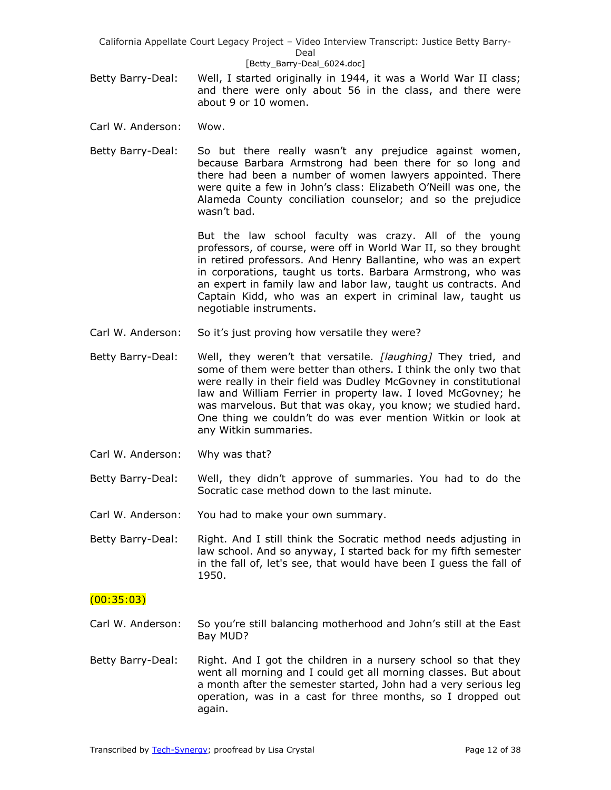#### [Betty\_Barry-Deal\_6024.doc]

- Betty Barry-Deal: Well, I started originally in 1944, it was a World War II class; and there were only about 56 in the class, and there were about 9 or 10 women.
- Carl W. Anderson: Wow.
- Betty Barry-Deal: So but there really wasn't any prejudice against women, because Barbara Armstrong had been there for so long and there had been a number of women lawyers appointed. There were quite a few in John's class: Elizabeth O'Neill was one, the Alameda County conciliation counselor; and so the prejudice wasn't bad.

But the law school faculty was crazy. All of the young professors, of course, were off in World War II, so they brought in retired professors. And Henry Ballantine, who was an expert in corporations, taught us torts. Barbara Armstrong, who was an expert in family law and labor law, taught us contracts. And Captain Kidd, who was an expert in criminal law, taught us negotiable instruments.

- Carl W. Anderson: So it's just proving how versatile they were?
- Betty Barry-Deal: Well, they weren't that versatile. *[laughing]* They tried, and some of them were better than others. I think the only two that were really in their field was Dudley McGovney in constitutional law and William Ferrier in property law. I loved McGovney; he was marvelous. But that was okay, you know; we studied hard. One thing we couldn't do was ever mention Witkin or look at any Witkin summaries.
- Carl W. Anderson: Why was that?
- Betty Barry-Deal: Well, they didn't approve of summaries. You had to do the Socratic case method down to the last minute.
- Carl W. Anderson: You had to make your own summary.
- Betty Barry-Deal: Right. And I still think the Socratic method needs adjusting in law school. And so anyway, I started back for my fifth semester in the fall of, let's see, that would have been I guess the fall of 1950.

### $(00:35:03)$

- Carl W. Anderson: So you're still balancing motherhood and John's still at the East Bay MUD?
- Betty Barry-Deal: Right. And I got the children in a nursery school so that they went all morning and I could get all morning classes. But about a month after the semester started, John had a very serious leg operation, was in a cast for three months, so I dropped out again.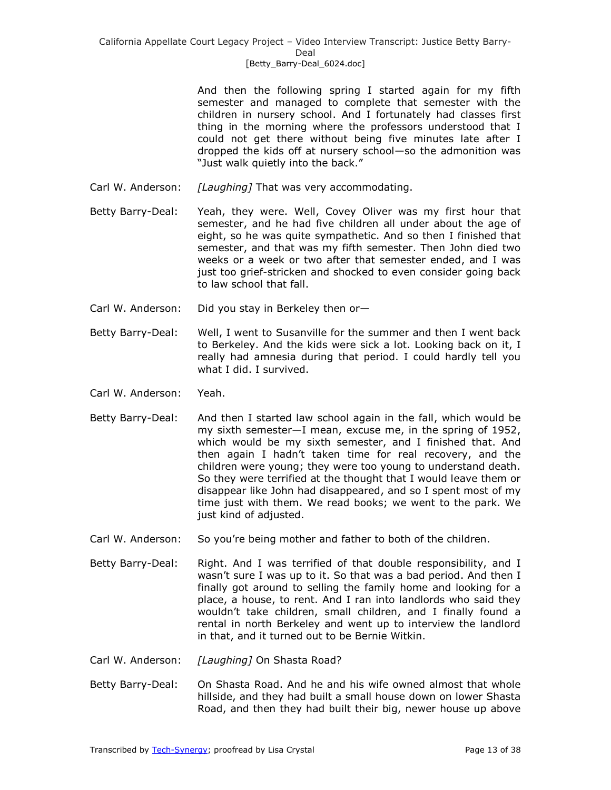And then the following spring I started again for my fifth semester and managed to complete that semester with the children in nursery school. And I fortunately had classes first thing in the morning where the professors understood that I could not get there without being five minutes late after I dropped the kids off at nursery school—so the admonition was "Just walk quietly into the back."

- Carl W. Anderson: *[Laughing]* That was very accommodating.
- Betty Barry-Deal: Yeah, they were. Well, Covey Oliver was my first hour that semester, and he had five children all under about the age of eight, so he was quite sympathetic. And so then I finished that semester, and that was my fifth semester. Then John died two weeks or a week or two after that semester ended, and I was just too grief-stricken and shocked to even consider going back to law school that fall.
- Carl W. Anderson: Did you stay in Berkeley then or—
- Betty Barry-Deal: Well, I went to Susanville for the summer and then I went back to Berkeley. And the kids were sick a lot. Looking back on it, I really had amnesia during that period. I could hardly tell you what I did. I survived.
- Carl W. Anderson: Yeah.
- Betty Barry-Deal: And then I started law school again in the fall, which would be my sixth semester—I mean, excuse me, in the spring of 1952, which would be my sixth semester, and I finished that. And then again I hadn't taken time for real recovery, and the children were young; they were too young to understand death. So they were terrified at the thought that I would leave them or disappear like John had disappeared, and so I spent most of my time just with them. We read books; we went to the park. We just kind of adjusted.
- Carl W. Anderson: So you're being mother and father to both of the children.
- Betty Barry-Deal: Right. And I was terrified of that double responsibility, and I wasn't sure I was up to it. So that was a bad period. And then I finally got around to selling the family home and looking for a place, a house, to rent. And I ran into landlords who said they wouldn't take children, small children, and I finally found a rental in north Berkeley and went up to interview the landlord in that, and it turned out to be Bernie Witkin.
- Carl W. Anderson: *[Laughing]* On Shasta Road?
- Betty Barry-Deal: On Shasta Road. And he and his wife owned almost that whole hillside, and they had built a small house down on lower Shasta Road, and then they had built their big, newer house up above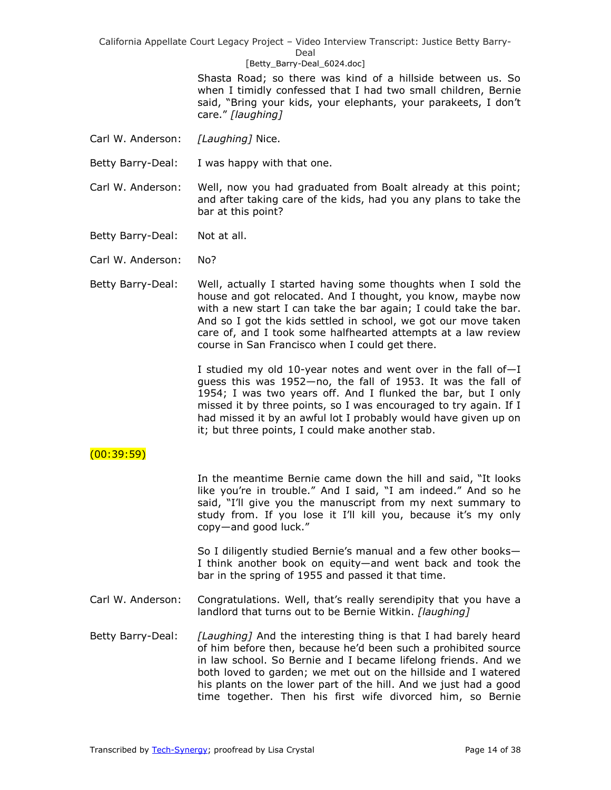Deal

#### [Betty\_Barry-Deal\_6024.doc]

Shasta Road; so there was kind of a hillside between us. So when I timidly confessed that I had two small children, Bernie said, "Bring your kids, your elephants, your parakeets, I don't care.‖ *[laughing]*

- Carl W. Anderson: *[Laughing]* Nice.
- Betty Barry-Deal: I was happy with that one.
- Carl W. Anderson: Well, now you had graduated from Boalt already at this point; and after taking care of the kids, had you any plans to take the bar at this point?
- Betty Barry-Deal: Not at all.
- Carl W. Anderson: No?
- Betty Barry-Deal: Well, actually I started having some thoughts when I sold the house and got relocated. And I thought, you know, maybe now with a new start I can take the bar again; I could take the bar. And so I got the kids settled in school, we got our move taken care of, and I took some halfhearted attempts at a law review course in San Francisco when I could get there.

I studied my old 10-year notes and went over in the fall of—I guess this was 1952—no, the fall of 1953. It was the fall of 1954; I was two years off. And I flunked the bar, but I only missed it by three points, so I was encouraged to try again. If I had missed it by an awful lot I probably would have given up on it; but three points, I could make another stab.

# (00:39:59)

In the meantime Bernie came down the hill and said, "It looks like you're in trouble." And I said, "I am indeed." And so he said, "I'll give you the manuscript from my next summary to study from. If you lose it I'll kill you, because it's my only copy-and good luck."

So I diligently studied Bernie's manual and a few other books— I think another book on equity—and went back and took the bar in the spring of 1955 and passed it that time.

- Carl W. Anderson: Congratulations. Well, that's really serendipity that you have a landlord that turns out to be Bernie Witkin. *[laughing]*
- Betty Barry-Deal: *[Laughing]* And the interesting thing is that I had barely heard of him before then, because he'd been such a prohibited source in law school. So Bernie and I became lifelong friends. And we both loved to garden; we met out on the hillside and I watered his plants on the lower part of the hill. And we just had a good time together. Then his first wife divorced him, so Bernie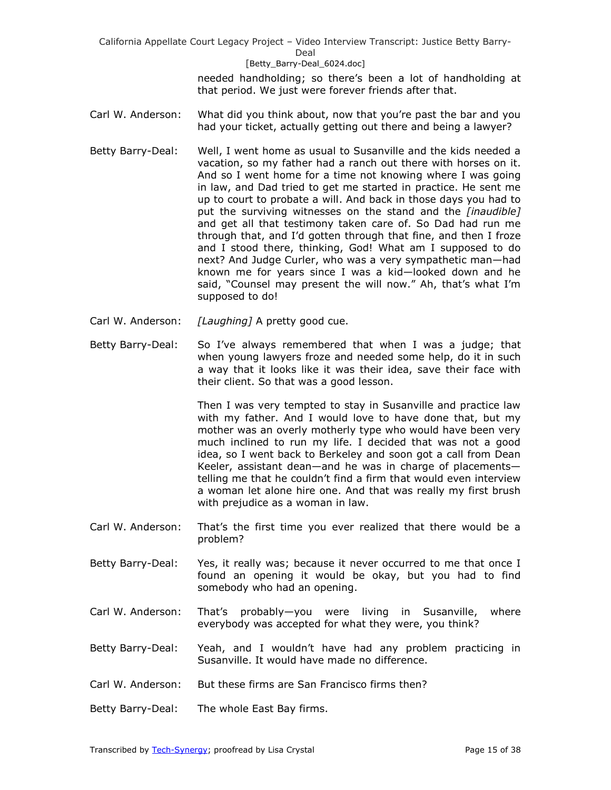#### [Betty\_Barry-Deal\_6024.doc]

needed handholding; so there's been a lot of handholding at that period. We just were forever friends after that.

- Carl W. Anderson: What did you think about, now that you're past the bar and you had your ticket, actually getting out there and being a lawyer?
- Betty Barry-Deal: Well, I went home as usual to Susanville and the kids needed a vacation, so my father had a ranch out there with horses on it. And so I went home for a time not knowing where I was going in law, and Dad tried to get me started in practice. He sent me up to court to probate a will. And back in those days you had to put the surviving witnesses on the stand and the *[inaudible]* and get all that testimony taken care of. So Dad had run me through that, and I'd gotten through that fine, and then I froze and I stood there, thinking, God! What am I supposed to do next? And Judge Curler, who was a very sympathetic man—had known me for years since I was a kid—looked down and he said, "Counsel may present the will now." Ah, that's what I'm supposed to do!
- Carl W. Anderson: *[Laughing]* A pretty good cue.
- Betty Barry-Deal: So I've always remembered that when I was a judge; that when young lawyers froze and needed some help, do it in such a way that it looks like it was their idea, save their face with their client. So that was a good lesson.

Then I was very tempted to stay in Susanville and practice law with my father. And I would love to have done that, but my mother was an overly motherly type who would have been very much inclined to run my life. I decided that was not a good idea, so I went back to Berkeley and soon got a call from Dean Keeler, assistant dean—and he was in charge of placements telling me that he couldn't find a firm that would even interview a woman let alone hire one. And that was really my first brush with prejudice as a woman in law.

- Carl W. Anderson: That's the first time you ever realized that there would be a problem?
- Betty Barry-Deal: Yes, it really was; because it never occurred to me that once I found an opening it would be okay, but you had to find somebody who had an opening.
- Carl W. Anderson: That's probably—you were living in Susanville, where everybody was accepted for what they were, you think?
- Betty Barry-Deal: Yeah, and I wouldn't have had any problem practicing in Susanville. It would have made no difference.
- Carl W. Anderson: But these firms are San Francisco firms then?
- Betty Barry-Deal: The whole East Bay firms.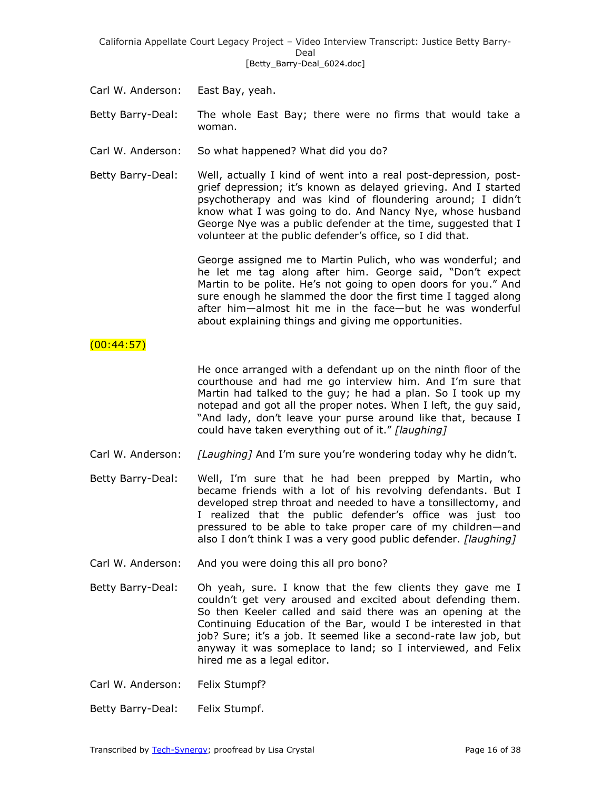California Appellate Court Legacy Project – Video Interview Transcript: Justice Betty Barry-Deal [Betty\_Barry-Deal\_6024.doc]

- Carl W. Anderson: East Bay, yeah.
- Betty Barry-Deal: The whole East Bay; there were no firms that would take a woman.
- Carl W. Anderson: So what happened? What did you do?
- Betty Barry-Deal: Well, actually I kind of went into a real post-depression, postgrief depression; it's known as delayed grieving. And I started psychotherapy and was kind of floundering around; I didn't know what I was going to do. And Nancy Nye, whose husband George Nye was a public defender at the time, suggested that I volunteer at the public defender's office, so I did that.

George assigned me to Martin Pulich, who was wonderful; and he let me tag along after him. George said, "Don't expect Martin to be polite. He's not going to open doors for you." And sure enough he slammed the door the first time I tagged along after him—almost hit me in the face—but he was wonderful about explaining things and giving me opportunities.

## $(00:44:57)$

He once arranged with a defendant up on the ninth floor of the courthouse and had me go interview him. And I'm sure that Martin had talked to the guy; he had a plan. So I took up my notepad and got all the proper notes. When I left, the guy said, "And lady, don't leave your purse around like that, because I could have taken everything out of it." [laughing]

- Carl W. Anderson: *[Laughing]* And I'm sure you're wondering today why he didn't.
- Betty Barry-Deal: Well, I'm sure that he had been prepped by Martin, who became friends with a lot of his revolving defendants. But I developed strep throat and needed to have a tonsillectomy, and I realized that the public defender's office was just too pressured to be able to take proper care of my children—and also I don't think I was a very good public defender. *[laughing]*
- Carl W. Anderson: And you were doing this all pro bono?
- Betty Barry-Deal: Oh yeah, sure. I know that the few clients they gave me I couldn't get very aroused and excited about defending them. So then Keeler called and said there was an opening at the Continuing Education of the Bar, would I be interested in that job? Sure; it's a job. It seemed like a second-rate law job, but anyway it was someplace to land; so I interviewed, and Felix hired me as a legal editor.
- Carl W. Anderson: Felix Stumpf?
- Betty Barry-Deal: Felix Stumpf.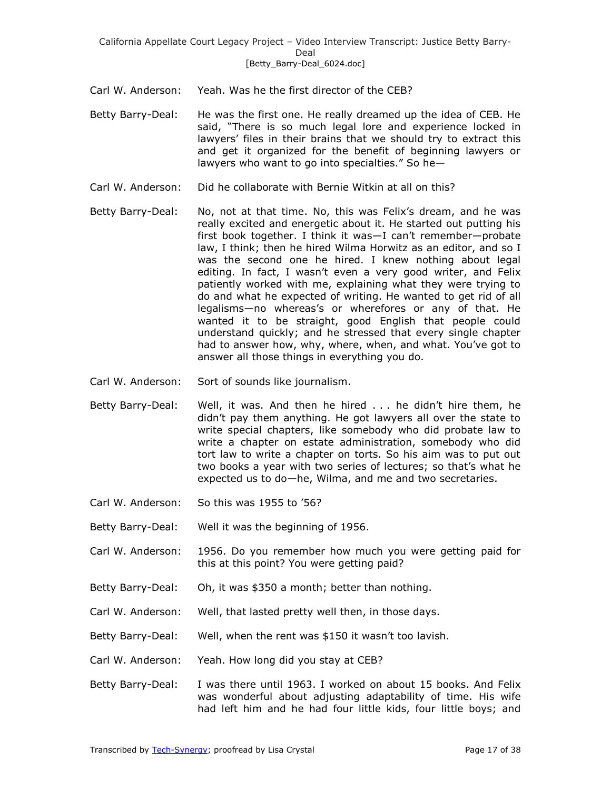- Carl W. Anderson: Yeah. Was he the first director of the CEB?
- Betty Barry-Deal: He was the first one. He really dreamed up the idea of CEB. He said, "There is so much legal lore and experience locked in lawyers' files in their brains that we should try to extract this and get it organized for the benefit of beginning lawyers or lawyers who want to go into specialties." So he-
- Carl W. Anderson: Did he collaborate with Bernie Witkin at all on this?
- Betty Barry-Deal: No, not at that time. No, this was Felix's dream, and he was really excited and energetic about it. He started out putting his first book together. I think it was—I can't remember—probate law, I think; then he hired Wilma Horwitz as an editor, and so I was the second one he hired. I knew nothing about legal editing. In fact, I wasn't even a very good writer, and Felix patiently worked with me, explaining what they were trying to do and what he expected of writing. He wanted to get rid of all legalisms—no whereas's or wherefores or any of that. He wanted it to be straight, good English that people could understand quickly; and he stressed that every single chapter had to answer how, why, where, when, and what. You've got to answer all those things in everything you do.
- Carl W. Anderson: Sort of sounds like journalism.
- Betty Barry-Deal: Well, it was. And then he hired . . . he didn't hire them, he didn't pay them anything. He got lawyers all over the state to write special chapters, like somebody who did probate law to write a chapter on estate administration, somebody who did tort law to write a chapter on torts. So his aim was to put out two books a year with two series of lectures; so that's what he expected us to do—he, Wilma, and me and two secretaries.
- Carl W. Anderson: So this was 1955 to '56?
- Betty Barry-Deal: Well it was the beginning of 1956.
- Carl W. Anderson: 1956. Do you remember how much you were getting paid for this at this point? You were getting paid?
- Betty Barry-Deal: Oh, it was \$350 a month; better than nothing.
- Carl W. Anderson: Well, that lasted pretty well then, in those days.
- Betty Barry-Deal: Well, when the rent was \$150 it wasn't too lavish.
- Carl W. Anderson: Yeah. How long did you stay at CEB?
- Betty Barry-Deal: I was there until 1963. I worked on about 15 books. And Felix was wonderful about adjusting adaptability of time. His wife had left him and he had four little kids, four little boys; and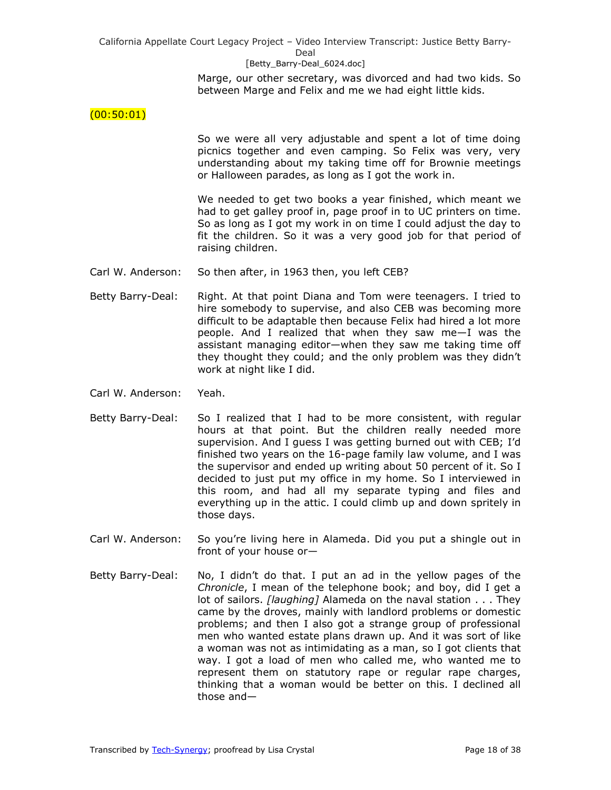#### [Betty\_Barry-Deal\_6024.doc]

Marge, our other secretary, was divorced and had two kids. So between Marge and Felix and me we had eight little kids.

### $(00:50:01)$

So we were all very adjustable and spent a lot of time doing picnics together and even camping. So Felix was very, very understanding about my taking time off for Brownie meetings or Halloween parades, as long as I got the work in.

We needed to get two books a year finished, which meant we had to get galley proof in, page proof in to UC printers on time. So as long as I got my work in on time I could adjust the day to fit the children. So it was a very good job for that period of raising children.

- Carl W. Anderson: So then after, in 1963 then, you left CEB?
- Betty Barry-Deal: Right. At that point Diana and Tom were teenagers. I tried to hire somebody to supervise, and also CEB was becoming more difficult to be adaptable then because Felix had hired a lot more people. And I realized that when they saw me—I was the assistant managing editor—when they saw me taking time off they thought they could; and the only problem was they didn't work at night like I did.
- Carl W. Anderson: Yeah.
- Betty Barry-Deal: So I realized that I had to be more consistent, with regular hours at that point. But the children really needed more supervision. And I guess I was getting burned out with CEB; I'd finished two years on the 16-page family law volume, and I was the supervisor and ended up writing about 50 percent of it. So I decided to just put my office in my home. So I interviewed in this room, and had all my separate typing and files and everything up in the attic. I could climb up and down spritely in those days.
- Carl W. Anderson: So you're living here in Alameda. Did you put a shingle out in front of your house or—
- Betty Barry-Deal: No, I didn't do that. I put an ad in the yellow pages of the *Chronicle*, I mean of the telephone book; and boy, did I get a lot of sailors. *[laughing]* Alameda on the naval station . . . They came by the droves, mainly with landlord problems or domestic problems; and then I also got a strange group of professional men who wanted estate plans drawn up. And it was sort of like a woman was not as intimidating as a man, so I got clients that way. I got a load of men who called me, who wanted me to represent them on statutory rape or regular rape charges, thinking that a woman would be better on this. I declined all those and—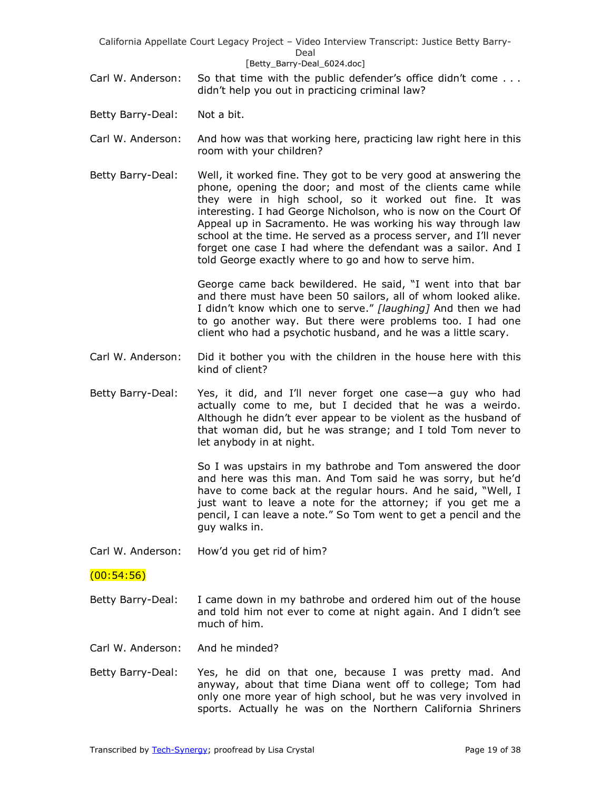California Appellate Court Legacy Project – Video Interview Transcript: Justice Betty Barry-Deal [Betty\_Barry-Deal\_6024.doc]

Carl W. Anderson: So that time with the public defender's office didn't come . . . didn't help you out in practicing criminal law?

Betty Barry-Deal: Not a bit.

- Carl W. Anderson: And how was that working here, practicing law right here in this room with your children?
- Betty Barry-Deal: Well, it worked fine. They got to be very good at answering the phone, opening the door; and most of the clients came while they were in high school, so it worked out fine. It was interesting. I had George Nicholson, who is now on the Court Of Appeal up in Sacramento. He was working his way through law school at the time. He served as a process server, and I'll never forget one case I had where the defendant was a sailor. And I told George exactly where to go and how to serve him.

George came back bewildered. He said, "I went into that bar and there must have been 50 sailors, all of whom looked alike. I didn't know which one to serve." [laughing] And then we had to go another way. But there were problems too. I had one client who had a psychotic husband, and he was a little scary.

- Carl W. Anderson: Did it bother you with the children in the house here with this kind of client?
- Betty Barry-Deal: Yes, it did, and I'll never forget one case—a guy who had actually come to me, but I decided that he was a weirdo. Although he didn't ever appear to be violent as the husband of that woman did, but he was strange; and I told Tom never to let anybody in at night.

So I was upstairs in my bathrobe and Tom answered the door and here was this man. And Tom said he was sorry, but he'd have to come back at the regular hours. And he said, "Well, I just want to leave a note for the attorney; if you get me a pencil, I can leave a note." So Tom went to get a pencil and the guy walks in.

Carl W. Anderson: How'd you get rid of him?

# $(00:54:56)$

- Betty Barry-Deal: I came down in my bathrobe and ordered him out of the house and told him not ever to come at night again. And I didn't see much of him.
- Carl W. Anderson: And he minded?
- Betty Barry-Deal: Yes, he did on that one, because I was pretty mad. And anyway, about that time Diana went off to college; Tom had only one more year of high school, but he was very involved in sports. Actually he was on the Northern California Shriners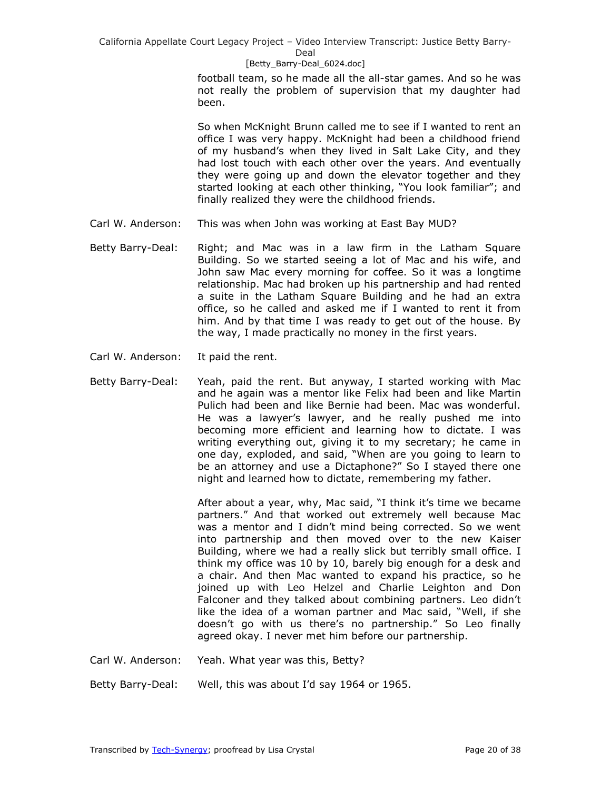#### [Betty\_Barry-Deal\_6024.doc]

football team, so he made all the all-star games. And so he was not really the problem of supervision that my daughter had been.

So when McKnight Brunn called me to see if I wanted to rent an office I was very happy. McKnight had been a childhood friend of my husband's when they lived in Salt Lake City, and they had lost touch with each other over the years. And eventually they were going up and down the elevator together and they started looking at each other thinking, "You look familiar"; and finally realized they were the childhood friends.

- Carl W. Anderson: This was when John was working at East Bay MUD?
- Betty Barry-Deal: Right; and Mac was in a law firm in the Latham Square Building. So we started seeing a lot of Mac and his wife, and John saw Mac every morning for coffee. So it was a longtime relationship. Mac had broken up his partnership and had rented a suite in the Latham Square Building and he had an extra office, so he called and asked me if I wanted to rent it from him. And by that time I was ready to get out of the house. By the way, I made practically no money in the first years.
- Carl W. Anderson: It paid the rent.
- Betty Barry-Deal: Yeah, paid the rent. But anyway, I started working with Mac and he again was a mentor like Felix had been and like Martin Pulich had been and like Bernie had been. Mac was wonderful. He was a lawyer's lawyer, and he really pushed me into becoming more efficient and learning how to dictate. I was writing everything out, giving it to my secretary; he came in one day, exploded, and said, "When are you going to learn to be an attorney and use a Dictaphone?" So I stayed there one night and learned how to dictate, remembering my father.

After about a year, why, Mac said, "I think it's time we became partners." And that worked out extremely well because Mac was a mentor and I didn't mind being corrected. So we went into partnership and then moved over to the new Kaiser Building, where we had a really slick but terribly small office. I think my office was 10 by 10, barely big enough for a desk and a chair. And then Mac wanted to expand his practice, so he joined up with Leo Helzel and Charlie Leighton and Don Falconer and they talked about combining partners. Leo didn't like the idea of a woman partner and Mac said, "Well, if she doesn't go with us there's no partnership." So Leo finally agreed okay. I never met him before our partnership.

- Carl W. Anderson: Yeah. What year was this, Betty?
- Betty Barry-Deal: Well, this was about I'd say 1964 or 1965.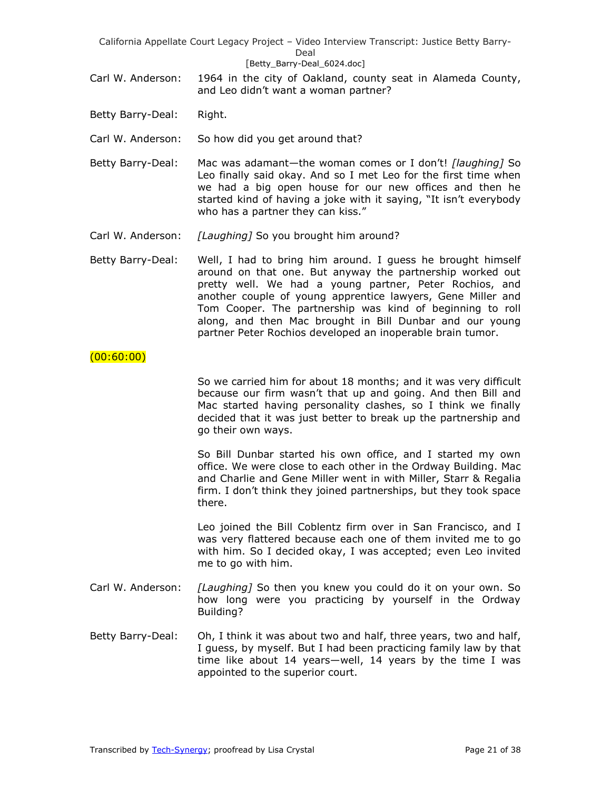California Appellate Court Legacy Project – Video Interview Transcript: Justice Betty Barry-Deal [Betty\_Barry-Deal\_6024.doc]

- Carl W. Anderson: 1964 in the city of Oakland, county seat in Alameda County, and Leo didn't want a woman partner?
- Betty Barry-Deal: Right.
- Carl W. Anderson: So how did you get around that?
- Betty Barry-Deal: Mac was adamant—the woman comes or I don't! *[laughing]* So Leo finally said okay. And so I met Leo for the first time when we had a big open house for our new offices and then he started kind of having a joke with it saying, "It isn't everybody who has a partner they can kiss."
- Carl W. Anderson: *[Laughing]* So you brought him around?
- Betty Barry-Deal: Well, I had to bring him around. I guess he brought himself around on that one. But anyway the partnership worked out pretty well. We had a young partner, Peter Rochios, and another couple of young apprentice lawyers, Gene Miller and Tom Cooper. The partnership was kind of beginning to roll along, and then Mac brought in Bill Dunbar and our young partner Peter Rochios developed an inoperable brain tumor.

# (00:60:00)

So we carried him for about 18 months; and it was very difficult because our firm wasn't that up and going. And then Bill and Mac started having personality clashes, so I think we finally decided that it was just better to break up the partnership and go their own ways.

So Bill Dunbar started his own office, and I started my own office. We were close to each other in the Ordway Building. Mac and Charlie and Gene Miller went in with Miller, Starr & Regalia firm. I don't think they joined partnerships, but they took space there.

Leo joined the Bill Coblentz firm over in San Francisco, and I was very flattered because each one of them invited me to go with him. So I decided okay, I was accepted; even Leo invited me to go with him.

- Carl W. Anderson: *[Laughing]* So then you knew you could do it on your own. So how long were you practicing by yourself in the Ordway Building?
- Betty Barry-Deal: Oh, I think it was about two and half, three years, two and half, I guess, by myself. But I had been practicing family law by that time like about 14 years—well, 14 years by the time I was appointed to the superior court.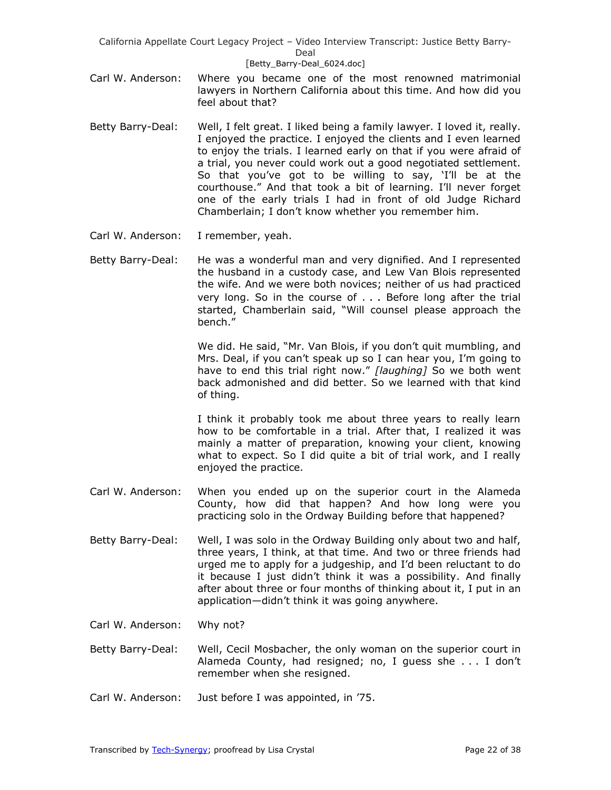### [Betty\_Barry-Deal\_6024.doc]

- Carl W. Anderson: Where you became one of the most renowned matrimonial lawyers in Northern California about this time. And how did you feel about that?
- Betty Barry-Deal: Well, I felt great. I liked being a family lawyer. I loved it, really. I enjoyed the practice. I enjoyed the clients and I even learned to enjoy the trials. I learned early on that if you were afraid of a trial, you never could work out a good negotiated settlement. So that you've got to be willing to say, 'I'll be at the courthouse.‖ And that took a bit of learning. I'll never forget one of the early trials I had in front of old Judge Richard Chamberlain; I don't know whether you remember him.
- Carl W. Anderson: I remember, yeah.

Betty Barry-Deal: He was a wonderful man and very dignified. And I represented the husband in a custody case, and Lew Van Blois represented the wife. And we were both novices; neither of us had practiced very long. So in the course of . . . Before long after the trial started, Chamberlain said, "Will counsel please approach the bench.‖

> We did. He said, "Mr. Van Blois, if you don't quit mumbling, and Mrs. Deal, if you can't speak up so I can hear you, I'm going to have to end this trial right now." [laughing] So we both went back admonished and did better. So we learned with that kind of thing.

> I think it probably took me about three years to really learn how to be comfortable in a trial. After that, I realized it was mainly a matter of preparation, knowing your client, knowing what to expect. So I did quite a bit of trial work, and I really enjoyed the practice.

- Carl W. Anderson: When you ended up on the superior court in the Alameda County, how did that happen? And how long were you practicing solo in the Ordway Building before that happened?
- Betty Barry-Deal: Well, I was solo in the Ordway Building only about two and half, three years, I think, at that time. And two or three friends had urged me to apply for a judgeship, and I'd been reluctant to do it because I just didn't think it was a possibility. And finally after about three or four months of thinking about it, I put in an application—didn't think it was going anywhere.
- Carl W. Anderson: Why not?
- Betty Barry-Deal: Well, Cecil Mosbacher, the only woman on the superior court in Alameda County, had resigned; no, I guess she . . . I don't remember when she resigned.
- Carl W. Anderson: Just before I was appointed, in '75.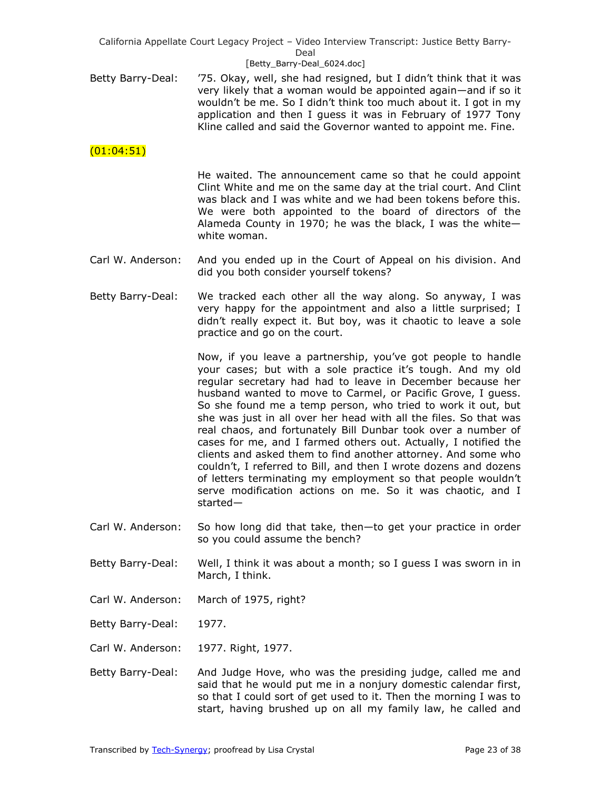### [Betty\_Barry-Deal\_6024.doc]

Betty Barry-Deal: '75. Okay, well, she had resigned, but I didn't think that it was very likely that a woman would be appointed again—and if so it wouldn't be me. So I didn't think too much about it. I got in my application and then I guess it was in February of 1977 Tony Kline called and said the Governor wanted to appoint me. Fine.

# $(01:04:51)$

He waited. The announcement came so that he could appoint Clint White and me on the same day at the trial court. And Clint was black and I was white and we had been tokens before this. We were both appointed to the board of directors of the Alameda County in 1970; he was the black, I was the white white woman.

- Carl W. Anderson: And you ended up in the Court of Appeal on his division. And did you both consider yourself tokens?
- Betty Barry-Deal: We tracked each other all the way along. So anyway, I was very happy for the appointment and also a little surprised; I didn't really expect it. But boy, was it chaotic to leave a sole practice and go on the court.

Now, if you leave a partnership, you've got people to handle your cases; but with a sole practice it's tough. And my old regular secretary had had to leave in December because her husband wanted to move to Carmel, or Pacific Grove, I guess. So she found me a temp person, who tried to work it out, but she was just in all over her head with all the files. So that was real chaos, and fortunately Bill Dunbar took over a number of cases for me, and I farmed others out. Actually, I notified the clients and asked them to find another attorney. And some who couldn't, I referred to Bill, and then I wrote dozens and dozens of letters terminating my employment so that people wouldn't serve modification actions on me. So it was chaotic, and I started—

- Carl W. Anderson: So how long did that take, then—to get your practice in order so you could assume the bench?
- Betty Barry-Deal: Well, I think it was about a month; so I guess I was sworn in in March, I think.
- Carl W. Anderson: March of 1975, right?
- Betty Barry-Deal: 1977.
- Carl W. Anderson: 1977. Right, 1977.
- Betty Barry-Deal: And Judge Hove, who was the presiding judge, called me and said that he would put me in a nonjury domestic calendar first, so that I could sort of get used to it. Then the morning I was to start, having brushed up on all my family law, he called and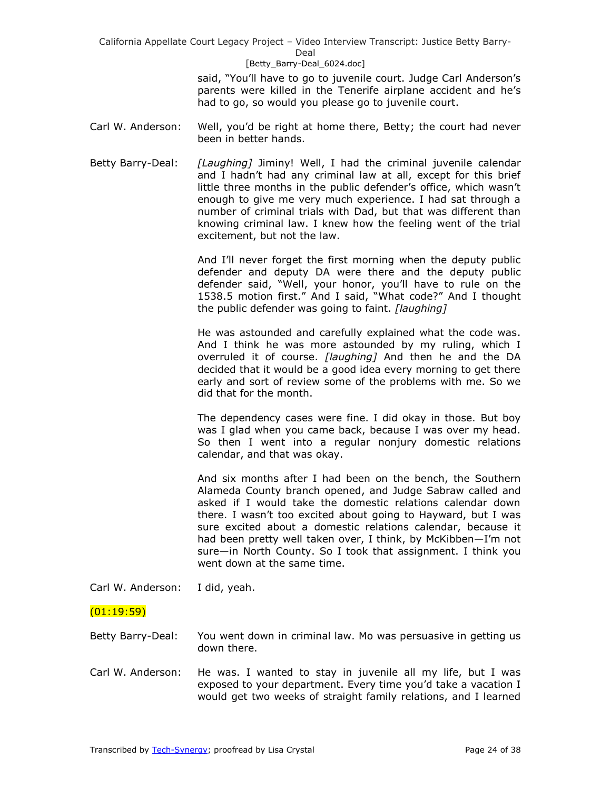#### [Betty\_Barry-Deal\_6024.doc]

said, "You'll have to go to juvenile court. Judge Carl Anderson's parents were killed in the Tenerife airplane accident and he's had to go, so would you please go to juvenile court.

- Carl W. Anderson: Well, you'd be right at home there, Betty; the court had never been in better hands.
- Betty Barry-Deal: *[Laughing]* Jiminy! Well, I had the criminal juvenile calendar and I hadn't had any criminal law at all, except for this brief little three months in the public defender's office, which wasn't enough to give me very much experience. I had sat through a number of criminal trials with Dad, but that was different than knowing criminal law. I knew how the feeling went of the trial excitement, but not the law.

And I'll never forget the first morning when the deputy public defender and deputy DA were there and the deputy public defender said, "Well, your honor, you'll have to rule on the 1538.5 motion first." And I said, "What code?" And I thought the public defender was going to faint. *[laughing]*

He was astounded and carefully explained what the code was. And I think he was more astounded by my ruling, which I overruled it of course. *[laughing]* And then he and the DA decided that it would be a good idea every morning to get there early and sort of review some of the problems with me. So we did that for the month.

The dependency cases were fine. I did okay in those. But boy was I glad when you came back, because I was over my head. So then I went into a regular nonjury domestic relations calendar, and that was okay.

And six months after I had been on the bench, the Southern Alameda County branch opened, and Judge Sabraw called and asked if I would take the domestic relations calendar down there. I wasn't too excited about going to Hayward, but I was sure excited about a domestic relations calendar, because it had been pretty well taken over, I think, by McKibben—I'm not sure—in North County. So I took that assignment. I think you went down at the same time.

Carl W. Anderson: I did, yeah.

# (01:19:59)

Betty Barry-Deal: You went down in criminal law. Mo was persuasive in getting us down there.

Carl W. Anderson: He was. I wanted to stay in juvenile all my life, but I was exposed to your department. Every time you'd take a vacation I would get two weeks of straight family relations, and I learned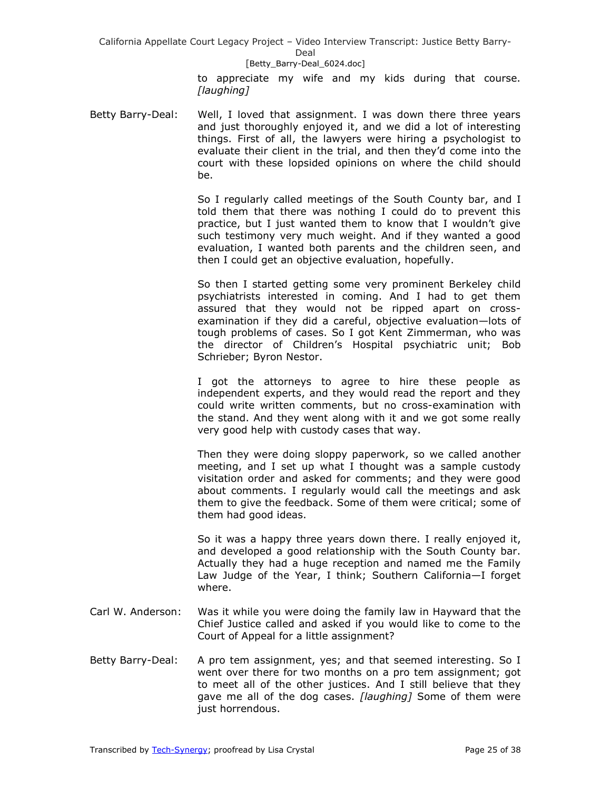#### [Betty\_Barry-Deal\_6024.doc]

to appreciate my wife and my kids during that course. *[laughing]*

Betty Barry-Deal: Well, I loved that assignment. I was down there three years and just thoroughly enjoyed it, and we did a lot of interesting things. First of all, the lawyers were hiring a psychologist to evaluate their client in the trial, and then they'd come into the court with these lopsided opinions on where the child should be.

> So I regularly called meetings of the South County bar, and I told them that there was nothing I could do to prevent this practice, but I just wanted them to know that I wouldn't give such testimony very much weight. And if they wanted a good evaluation, I wanted both parents and the children seen, and then I could get an objective evaluation, hopefully.

> So then I started getting some very prominent Berkeley child psychiatrists interested in coming. And I had to get them assured that they would not be ripped apart on crossexamination if they did a careful, objective evaluation—lots of tough problems of cases. So I got Kent Zimmerman, who was the director of Children's Hospital psychiatric unit; Bob Schrieber; Byron Nestor.

> I got the attorneys to agree to hire these people as independent experts, and they would read the report and they could write written comments, but no cross-examination with the stand. And they went along with it and we got some really very good help with custody cases that way.

> Then they were doing sloppy paperwork, so we called another meeting, and I set up what I thought was a sample custody visitation order and asked for comments; and they were good about comments. I regularly would call the meetings and ask them to give the feedback. Some of them were critical; some of them had good ideas.

> So it was a happy three years down there. I really enjoyed it, and developed a good relationship with the South County bar. Actually they had a huge reception and named me the Family Law Judge of the Year, I think; Southern California—I forget where.

- Carl W. Anderson: Was it while you were doing the family law in Hayward that the Chief Justice called and asked if you would like to come to the Court of Appeal for a little assignment?
- Betty Barry-Deal: A pro tem assignment, yes; and that seemed interesting. So I went over there for two months on a pro tem assignment; got to meet all of the other justices. And I still believe that they gave me all of the dog cases. *[laughing]* Some of them were just horrendous.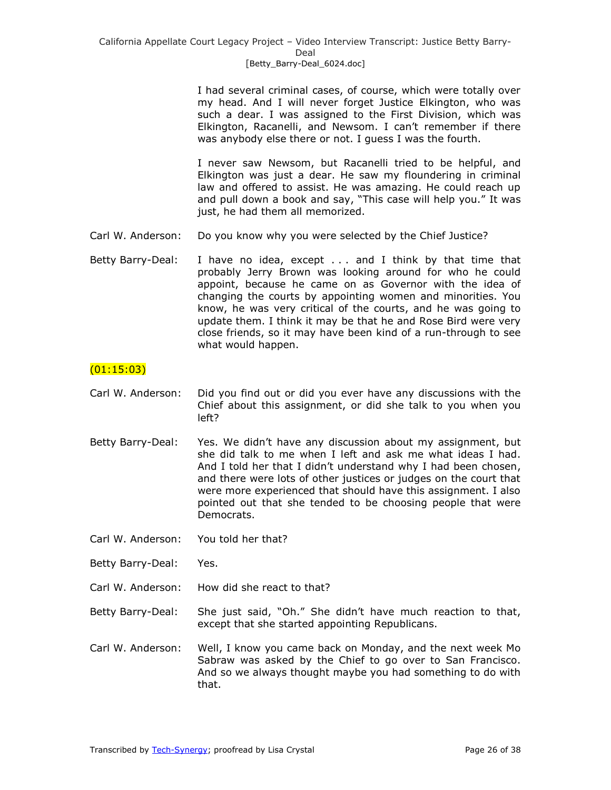I had several criminal cases, of course, which were totally over my head. And I will never forget Justice Elkington, who was such a dear. I was assigned to the First Division, which was Elkington, Racanelli, and Newsom. I can't remember if there was anybody else there or not. I guess I was the fourth.

I never saw Newsom, but Racanelli tried to be helpful, and Elkington was just a dear. He saw my floundering in criminal law and offered to assist. He was amazing. He could reach up and pull down a book and say, "This case will help you." It was just, he had them all memorized.

- Carl W. Anderson: Do you know why you were selected by the Chief Justice?
- Betty Barry-Deal: I have no idea, except . . . and I think by that time that probably Jerry Brown was looking around for who he could appoint, because he came on as Governor with the idea of changing the courts by appointing women and minorities. You know, he was very critical of the courts, and he was going to update them. I think it may be that he and Rose Bird were very close friends, so it may have been kind of a run-through to see what would happen.

# (01:15:03)

- Carl W. Anderson: Did you find out or did you ever have any discussions with the Chief about this assignment, or did she talk to you when you left?
- Betty Barry-Deal: Yes. We didn't have any discussion about my assignment, but she did talk to me when I left and ask me what ideas I had. And I told her that I didn't understand why I had been chosen, and there were lots of other justices or judges on the court that were more experienced that should have this assignment. I also pointed out that she tended to be choosing people that were Democrats.
- Carl W. Anderson: You told her that?
- Betty Barry-Deal: Yes.
- Carl W. Anderson: How did she react to that?
- Betty Barry-Deal: She just said, "Oh." She didn't have much reaction to that, except that she started appointing Republicans.
- Carl W. Anderson: Well, I know you came back on Monday, and the next week Mo Sabraw was asked by the Chief to go over to San Francisco. And so we always thought maybe you had something to do with that.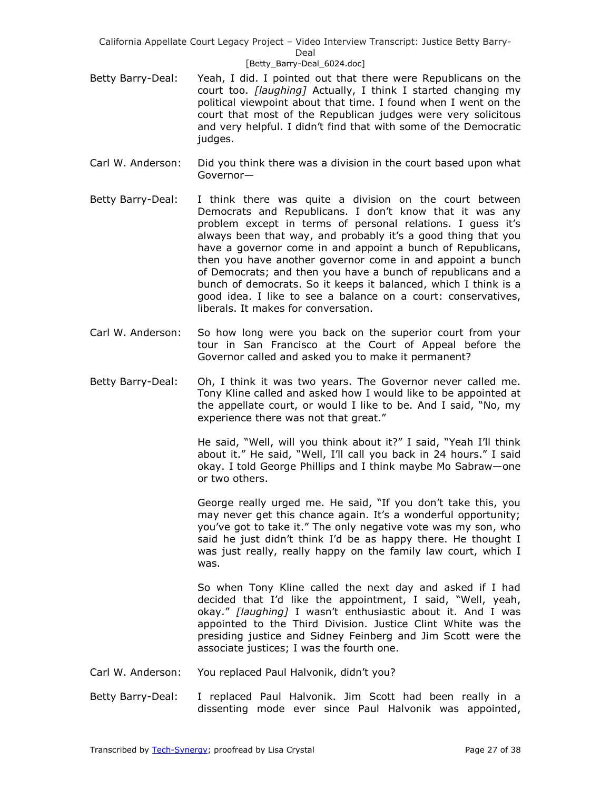### [Betty\_Barry-Deal\_6024.doc]

- Betty Barry-Deal: Yeah, I did. I pointed out that there were Republicans on the court too. *[laughing]* Actually, I think I started changing my political viewpoint about that time. I found when I went on the court that most of the Republican judges were very solicitous and very helpful. I didn't find that with some of the Democratic judges.
- Carl W. Anderson: Did you think there was a division in the court based upon what Governor—
- Betty Barry-Deal: I think there was quite a division on the court between Democrats and Republicans. I don't know that it was any problem except in terms of personal relations. I guess it's always been that way, and probably it's a good thing that you have a governor come in and appoint a bunch of Republicans, then you have another governor come in and appoint a bunch of Democrats; and then you have a bunch of republicans and a bunch of democrats. So it keeps it balanced, which I think is a good idea. I like to see a balance on a court: conservatives, liberals. It makes for conversation.
- Carl W. Anderson: So how long were you back on the superior court from your tour in San Francisco at the Court of Appeal before the Governor called and asked you to make it permanent?
- Betty Barry-Deal: Oh, I think it was two years. The Governor never called me. Tony Kline called and asked how I would like to be appointed at the appellate court, or would I like to be. And I said, "No, my experience there was not that great."

He said, "Well, will you think about it?" I said, "Yeah I'll think about it." He said, "Well, I'll call you back in 24 hours." I said okay. I told George Phillips and I think maybe Mo Sabraw—one or two others.

George really urged me. He said, "If you don't take this, you may never get this chance again. It's a wonderful opportunity; you've got to take it." The only negative vote was my son, who said he just didn't think I'd be as happy there. He thought I was just really, really happy on the family law court, which I was.

So when Tony Kline called the next day and asked if I had decided that I'd like the appointment, I said, "Well, yeah, okay.‖ *[laughing]* I wasn't enthusiastic about it. And I was appointed to the Third Division. Justice Clint White was the presiding justice and Sidney Feinberg and Jim Scott were the associate justices; I was the fourth one.

- Carl W. Anderson: You replaced Paul Halvonik, didn't you?
- Betty Barry-Deal: I replaced Paul Halvonik. Jim Scott had been really in a dissenting mode ever since Paul Halvonik was appointed,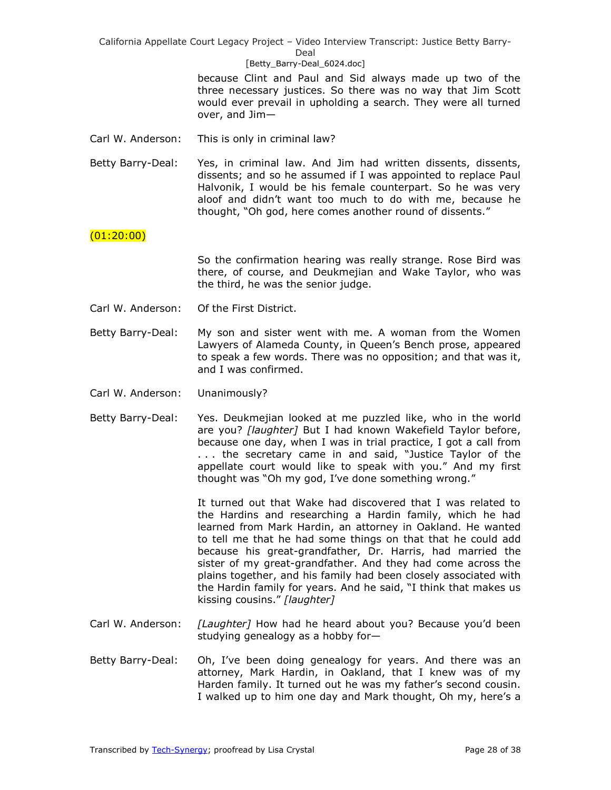### [Betty\_Barry-Deal\_6024.doc]

because Clint and Paul and Sid always made up two of the three necessary justices. So there was no way that Jim Scott would ever prevail in upholding a search. They were all turned over, and Jim—

Carl W. Anderson: This is only in criminal law?

Betty Barry-Deal: Yes, in criminal law. And Jim had written dissents, dissents, dissents; and so he assumed if I was appointed to replace Paul Halvonik, I would be his female counterpart. So he was very aloof and didn't want too much to do with me, because he thought, "Oh god, here comes another round of dissents."

# $(01:20:00)$

So the confirmation hearing was really strange. Rose Bird was there, of course, and Deukmejian and Wake Taylor, who was the third, he was the senior judge.

- Carl W. Anderson: Of the First District.
- Betty Barry-Deal: My son and sister went with me. A woman from the Women Lawyers of Alameda County, in Queen's Bench prose, appeared to speak a few words. There was no opposition; and that was it, and I was confirmed.
- Carl W. Anderson: Unanimously?
- Betty Barry-Deal: Yes. Deukmejian looked at me puzzled like, who in the world are you? *[laughter]* But I had known Wakefield Taylor before, because one day, when I was in trial practice, I got a call from ... the secretary came in and said, "Justice Taylor of the appellate court would like to speak with you." And my first thought was "Oh my god, I've done something wrong."

It turned out that Wake had discovered that I was related to the Hardins and researching a Hardin family, which he had learned from Mark Hardin, an attorney in Oakland. He wanted to tell me that he had some things on that that he could add because his great-grandfather, Dr. Harris, had married the sister of my great-grandfather. And they had come across the plains together, and his family had been closely associated with the Hardin family for years. And he said, "I think that makes us kissing cousins.‖ *[laughter]*

- Carl W. Anderson: *[Laughter]* How had he heard about you? Because you'd been studying genealogy as a hobby for—
- Betty Barry-Deal: Oh, I've been doing genealogy for years. And there was an attorney, Mark Hardin, in Oakland, that I knew was of my Harden family. It turned out he was my father's second cousin. I walked up to him one day and Mark thought, Oh my, here's a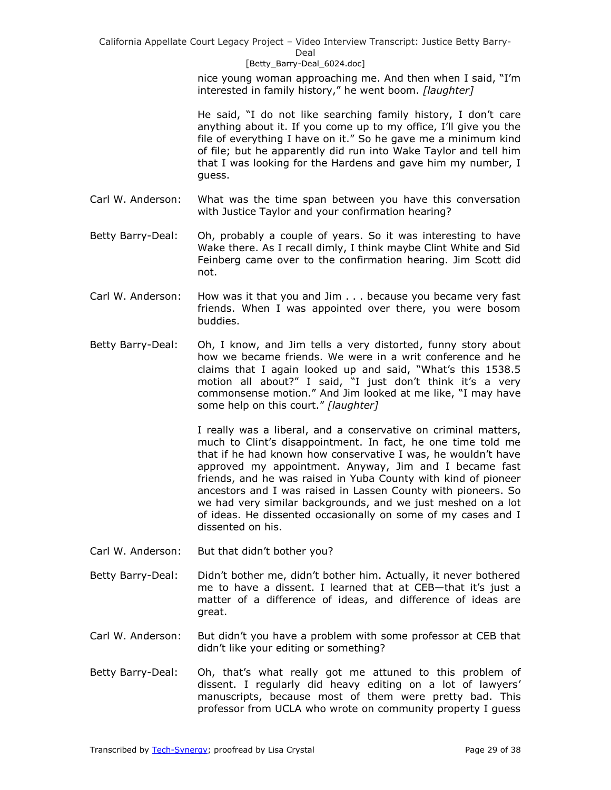#### [Betty\_Barry-Deal\_6024.doc]

nice young woman approaching me. And then when I said, "I'm interested in family history," he went boom. *[laughter]* 

He said, "I do not like searching family history, I don't care anything about it. If you come up to my office, I'll give you the file of everything I have on it." So he gave me a minimum kind of file; but he apparently did run into Wake Taylor and tell him that I was looking for the Hardens and gave him my number, I guess.

- Carl W. Anderson: What was the time span between you have this conversation with Justice Taylor and your confirmation hearing?
- Betty Barry-Deal: Oh, probably a couple of years. So it was interesting to have Wake there. As I recall dimly, I think maybe Clint White and Sid Feinberg came over to the confirmation hearing. Jim Scott did not.
- Carl W. Anderson: How was it that you and Jim . . . because you became very fast friends. When I was appointed over there, you were bosom buddies.
- Betty Barry-Deal: Oh, I know, and Jim tells a very distorted, funny story about how we became friends. We were in a writ conference and he claims that I again looked up and said, "What's this 1538.5 motion all about?" I said, "I just don't think it's a very commonsense motion." And Jim looked at me like, "I may have some help on this court." [laughter]

I really was a liberal, and a conservative on criminal matters, much to Clint's disappointment. In fact, he one time told me that if he had known how conservative I was, he wouldn't have approved my appointment. Anyway, Jim and I became fast friends, and he was raised in Yuba County with kind of pioneer ancestors and I was raised in Lassen County with pioneers. So we had very similar backgrounds, and we just meshed on a lot of ideas. He dissented occasionally on some of my cases and I dissented on his.

- Carl W. Anderson: But that didn't bother you?
- Betty Barry-Deal: Didn't bother me, didn't bother him. Actually, it never bothered me to have a dissent. I learned that at CEB—that it's just a matter of a difference of ideas, and difference of ideas are great.
- Carl W. Anderson: But didn't you have a problem with some professor at CEB that didn't like your editing or something?
- Betty Barry-Deal: Oh, that's what really got me attuned to this problem of dissent. I regularly did heavy editing on a lot of lawyers' manuscripts, because most of them were pretty bad. This professor from UCLA who wrote on community property I guess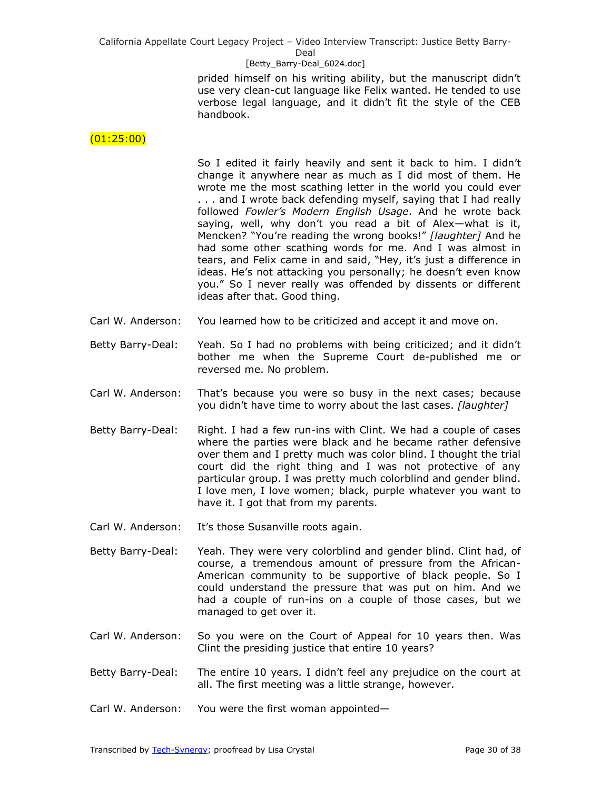### [Betty\_Barry-Deal\_6024.doc]

prided himself on his writing ability, but the manuscript didn't use very clean-cut language like Felix wanted. He tended to use verbose legal language, and it didn't fit the style of the CEB handbook.

# (01:25:00)

So I edited it fairly heavily and sent it back to him. I didn't change it anywhere near as much as I did most of them. He wrote me the most scathing letter in the world you could ever . . . and I wrote back defending myself, saying that I had really followed *Fowler's Modern English Usage*. And he wrote back saying, well, why don't you read a bit of Alex—what is it, Mencken? "You're reading the wrong books!" [laughter] And he had some other scathing words for me. And I was almost in tears, and Felix came in and said, "Hey, it's just a difference in ideas. He's not attacking you personally; he doesn't even know you." So I never really was offended by dissents or different ideas after that. Good thing.

- Carl W. Anderson: You learned how to be criticized and accept it and move on.
- Betty Barry-Deal: Yeah. So I had no problems with being criticized; and it didn't bother me when the Supreme Court de-published me or reversed me. No problem.
- Carl W. Anderson: That's because you were so busy in the next cases; because you didn't have time to worry about the last cases. *[laughter]*
- Betty Barry-Deal: Right. I had a few run-ins with Clint. We had a couple of cases where the parties were black and he became rather defensive over them and I pretty much was color blind. I thought the trial court did the right thing and I was not protective of any particular group. I was pretty much colorblind and gender blind. I love men, I love women; black, purple whatever you want to have it. I got that from my parents.
- Carl W. Anderson: It's those Susanville roots again.
- Betty Barry-Deal: Yeah. They were very colorblind and gender blind. Clint had, of course, a tremendous amount of pressure from the African-American community to be supportive of black people. So I could understand the pressure that was put on him. And we had a couple of run-ins on a couple of those cases, but we managed to get over it.
- Carl W. Anderson: So you were on the Court of Appeal for 10 years then. Was Clint the presiding justice that entire 10 years?
- Betty Barry-Deal: The entire 10 years. I didn't feel any prejudice on the court at all. The first meeting was a little strange, however.

Carl W. Anderson: You were the first woman appointed—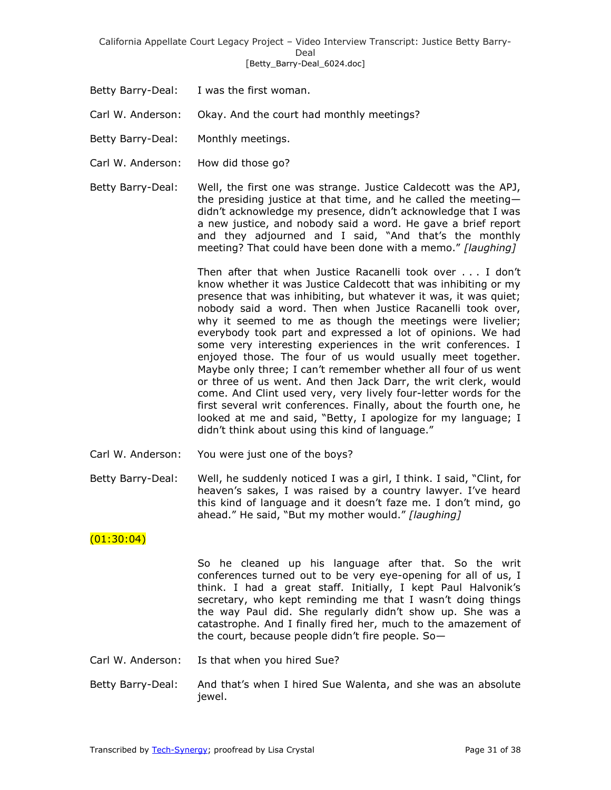California Appellate Court Legacy Project – Video Interview Transcript: Justice Betty Barry-Deal [Betty\_Barry-Deal\_6024.doc]

- Betty Barry-Deal: I was the first woman.
- Carl W. Anderson: Okay. And the court had monthly meetings?
- Betty Barry-Deal: Monthly meetings.
- Carl W. Anderson: How did those go?
- Betty Barry-Deal: Well, the first one was strange. Justice Caldecott was the APJ, the presiding justice at that time, and he called the meeting didn't acknowledge my presence, didn't acknowledge that I was a new justice, and nobody said a word. He gave a brief report and they adjourned and I said, "And that's the monthly meeting? That could have been done with a memo." [laughing]

Then after that when Justice Racanelli took over . . . I don't know whether it was Justice Caldecott that was inhibiting or my presence that was inhibiting, but whatever it was, it was quiet; nobody said a word. Then when Justice Racanelli took over, why it seemed to me as though the meetings were livelier; everybody took part and expressed a lot of opinions. We had some very interesting experiences in the writ conferences. I enjoyed those. The four of us would usually meet together. Maybe only three; I can't remember whether all four of us went or three of us went. And then Jack Darr, the writ clerk, would come. And Clint used very, very lively four-letter words for the first several writ conferences. Finally, about the fourth one, he looked at me and said, "Betty, I apologize for my language; I didn't think about using this kind of language."

- Carl W. Anderson: You were just one of the boys?
- Betty Barry-Deal: Well, he suddenly noticed I was a girl, I think. I said, "Clint, for heaven's sakes, I was raised by a country lawyer. I've heard this kind of language and it doesn't faze me. I don't mind, go ahead." He said, "But my mother would." [laughing]

# $(01:30:04)$

So he cleaned up his language after that. So the writ conferences turned out to be very eye-opening for all of us, I think. I had a great staff. Initially, I kept Paul Halvonik's secretary, who kept reminding me that I wasn't doing things the way Paul did. She regularly didn't show up. She was a catastrophe. And I finally fired her, much to the amazement of the court, because people didn't fire people. So—

- Carl W. Anderson: Is that when you hired Sue?
- Betty Barry-Deal: And that's when I hired Sue Walenta, and she was an absolute jewel.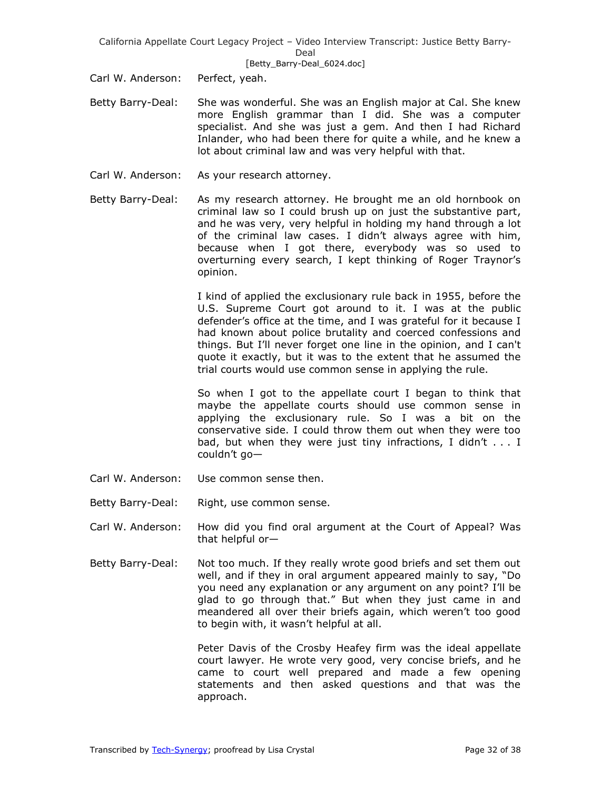California Appellate Court Legacy Project – Video Interview Transcript: Justice Betty Barry-Deal [Betty\_Barry-Deal\_6024.doc]

Carl W. Anderson: Perfect, yeah.

- Betty Barry-Deal: She was wonderful. She was an English major at Cal. She knew more English grammar than I did. She was a computer specialist. And she was just a gem. And then I had Richard Inlander, who had been there for quite a while, and he knew a lot about criminal law and was very helpful with that.
- Carl W. Anderson: As your research attorney.
- Betty Barry-Deal: As my research attorney. He brought me an old hornbook on criminal law so I could brush up on just the substantive part, and he was very, very helpful in holding my hand through a lot of the criminal law cases. I didn't always agree with him, because when I got there, everybody was so used to overturning every search, I kept thinking of Roger Traynor's opinion.

I kind of applied the exclusionary rule back in 1955, before the U.S. Supreme Court got around to it. I was at the public defender's office at the time, and I was grateful for it because I had known about police brutality and coerced confessions and things. But I'll never forget one line in the opinion, and I can't quote it exactly, but it was to the extent that he assumed the trial courts would use common sense in applying the rule.

So when I got to the appellate court I began to think that maybe the appellate courts should use common sense in applying the exclusionary rule. So I was a bit on the conservative side. I could throw them out when they were too bad, but when they were just tiny infractions, I didn't . . . I couldn't go—

- Carl W. Anderson: Use common sense then.
- Betty Barry-Deal: Right, use common sense.
- Carl W. Anderson: How did you find oral argument at the Court of Appeal? Was that helpful or—
- Betty Barry-Deal: Not too much. If they really wrote good briefs and set them out well, and if they in oral argument appeared mainly to say, "Do you need any explanation or any argument on any point? I'll be glad to go through that." But when they just came in and meandered all over their briefs again, which weren't too good to begin with, it wasn't helpful at all.

Peter Davis of the Crosby Heafey firm was the ideal appellate court lawyer. He wrote very good, very concise briefs, and he came to court well prepared and made a few opening statements and then asked questions and that was the approach.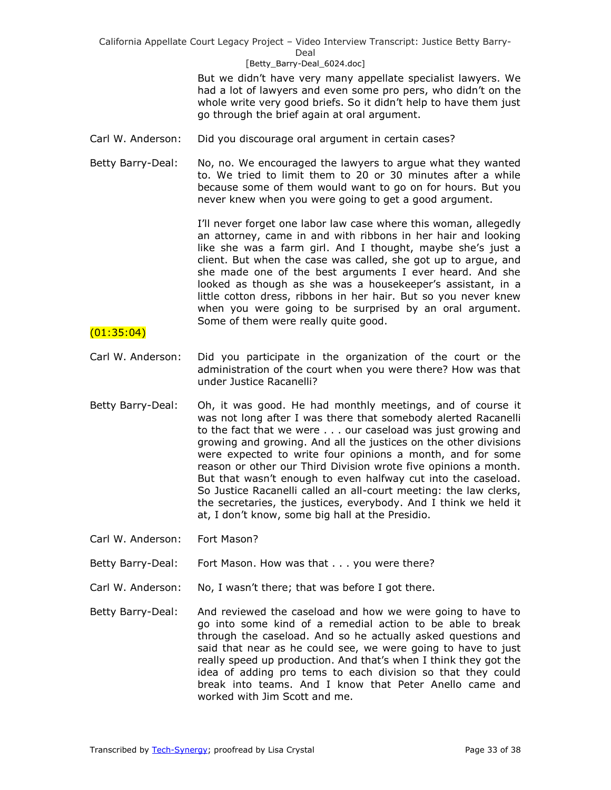#### [Betty\_Barry-Deal\_6024.doc]

But we didn't have very many appellate specialist lawyers. We had a lot of lawyers and even some pro pers, who didn't on the whole write very good briefs. So it didn't help to have them just go through the brief again at oral argument.

- Carl W. Anderson: Did you discourage oral argument in certain cases?
- Betty Barry-Deal: No, no. We encouraged the lawyers to argue what they wanted to. We tried to limit them to 20 or 30 minutes after a while because some of them would want to go on for hours. But you never knew when you were going to get a good argument.

I'll never forget one labor law case where this woman, allegedly an attorney, came in and with ribbons in her hair and looking like she was a farm girl. And I thought, maybe she's just a client. But when the case was called, she got up to argue, and she made one of the best arguments I ever heard. And she looked as though as she was a housekeeper's assistant, in a little cotton dress, ribbons in her hair. But so you never knew when you were going to be surprised by an oral argument. Some of them were really quite good.

### (01:35:04)

- Carl W. Anderson: Did you participate in the organization of the court or the administration of the court when you were there? How was that under Justice Racanelli?
- Betty Barry-Deal: Oh, it was good. He had monthly meetings, and of course it was not long after I was there that somebody alerted Racanelli to the fact that we were . . . our caseload was just growing and growing and growing. And all the justices on the other divisions were expected to write four opinions a month, and for some reason or other our Third Division wrote five opinions a month. But that wasn't enough to even halfway cut into the caseload. So Justice Racanelli called an all-court meeting: the law clerks, the secretaries, the justices, everybody. And I think we held it at, I don't know, some big hall at the Presidio.
- Carl W. Anderson: Fort Mason?
- Betty Barry-Deal: Fort Mason. How was that . . . you were there?
- Carl W. Anderson: No, I wasn't there; that was before I got there.
- Betty Barry-Deal: And reviewed the caseload and how we were going to have to go into some kind of a remedial action to be able to break through the caseload. And so he actually asked questions and said that near as he could see, we were going to have to just really speed up production. And that's when I think they got the idea of adding pro tems to each division so that they could break into teams. And I know that Peter Anello came and worked with Jim Scott and me.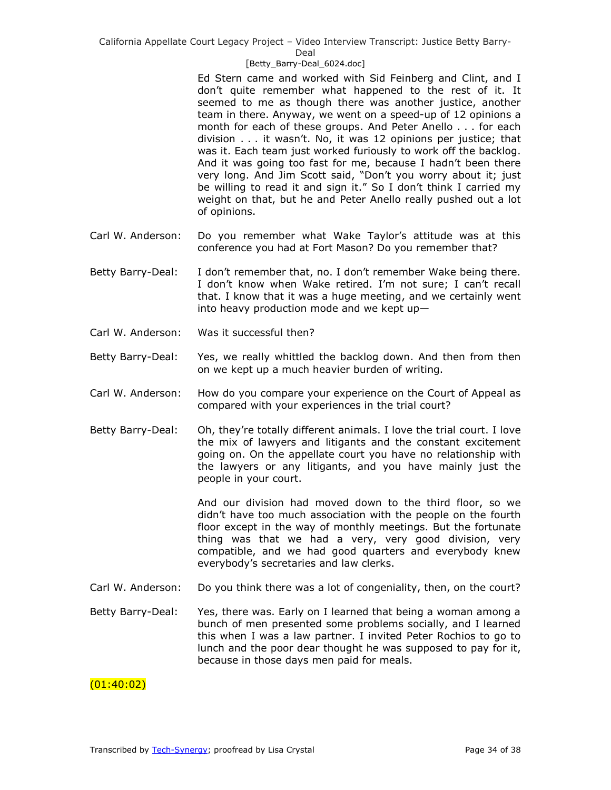## Deal

### [Betty\_Barry-Deal\_6024.doc]

Ed Stern came and worked with Sid Feinberg and Clint, and I don't quite remember what happened to the rest of it. It seemed to me as though there was another justice, another team in there. Anyway, we went on a speed-up of 12 opinions a month for each of these groups. And Peter Anello . . . for each division . . . it wasn't. No, it was 12 opinions per justice; that was it. Each team just worked furiously to work off the backlog. And it was going too fast for me, because I hadn't been there very long. And Jim Scott said, "Don't you worry about it; just be willing to read it and sign it." So I don't think I carried my weight on that, but he and Peter Anello really pushed out a lot of opinions.

- Carl W. Anderson: Do you remember what Wake Taylor's attitude was at this conference you had at Fort Mason? Do you remember that?
- Betty Barry-Deal: I don't remember that, no. I don't remember Wake being there. I don't know when Wake retired. I'm not sure; I can't recall that. I know that it was a huge meeting, and we certainly went into heavy production mode and we kept up—
- Carl W. Anderson: Was it successful then?
- Betty Barry-Deal: Yes, we really whittled the backlog down. And then from then on we kept up a much heavier burden of writing.
- Carl W. Anderson: How do you compare your experience on the Court of Appeal as compared with your experiences in the trial court?
- Betty Barry-Deal: Oh, they're totally different animals. I love the trial court. I love the mix of lawyers and litigants and the constant excitement going on. On the appellate court you have no relationship with the lawyers or any litigants, and you have mainly just the people in your court.

And our division had moved down to the third floor, so we didn't have too much association with the people on the fourth floor except in the way of monthly meetings. But the fortunate thing was that we had a very, very good division, very compatible, and we had good quarters and everybody knew everybody's secretaries and law clerks.

- Carl W. Anderson: Do you think there was a lot of congeniality, then, on the court?
- Betty Barry-Deal: Yes, there was. Early on I learned that being a woman among a bunch of men presented some problems socially, and I learned this when I was a law partner. I invited Peter Rochios to go to lunch and the poor dear thought he was supposed to pay for it, because in those days men paid for meals.

# (01:40:02)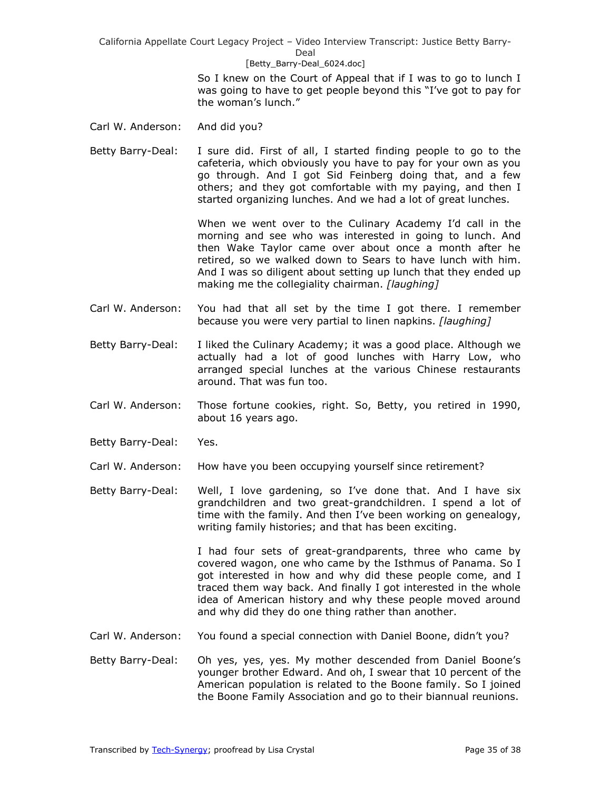#### [Betty\_Barry-Deal\_6024.doc]

So I knew on the Court of Appeal that if I was to go to lunch I was going to have to get people beyond this "I've got to pay for the woman's lunch."

- Carl W. Anderson: And did you?
- Betty Barry-Deal: I sure did. First of all, I started finding people to go to the cafeteria, which obviously you have to pay for your own as you go through. And I got Sid Feinberg doing that, and a few others; and they got comfortable with my paying, and then I started organizing lunches. And we had a lot of great lunches.

When we went over to the Culinary Academy I'd call in the morning and see who was interested in going to lunch. And then Wake Taylor came over about once a month after he retired, so we walked down to Sears to have lunch with him. And I was so diligent about setting up lunch that they ended up making me the collegiality chairman. *[laughing]*

- Carl W. Anderson: You had that all set by the time I got there. I remember because you were very partial to linen napkins. *[laughing]*
- Betty Barry-Deal: I liked the Culinary Academy; it was a good place. Although we actually had a lot of good lunches with Harry Low, who arranged special lunches at the various Chinese restaurants around. That was fun too.
- Carl W. Anderson: Those fortune cookies, right. So, Betty, you retired in 1990, about 16 years ago.
- Betty Barry-Deal: Yes.
- Carl W. Anderson: How have you been occupying yourself since retirement?
- Betty Barry-Deal: Well, I love gardening, so I've done that. And I have six grandchildren and two great-grandchildren. I spend a lot of time with the family. And then I've been working on genealogy, writing family histories; and that has been exciting.

I had four sets of great-grandparents, three who came by covered wagon, one who came by the Isthmus of Panama. So I got interested in how and why did these people come, and I traced them way back. And finally I got interested in the whole idea of American history and why these people moved around and why did they do one thing rather than another.

- Carl W. Anderson: You found a special connection with Daniel Boone, didn't you?
- Betty Barry-Deal: Oh yes, yes, yes. My mother descended from Daniel Boone's younger brother Edward. And oh, I swear that 10 percent of the American population is related to the Boone family. So I joined the Boone Family Association and go to their biannual reunions.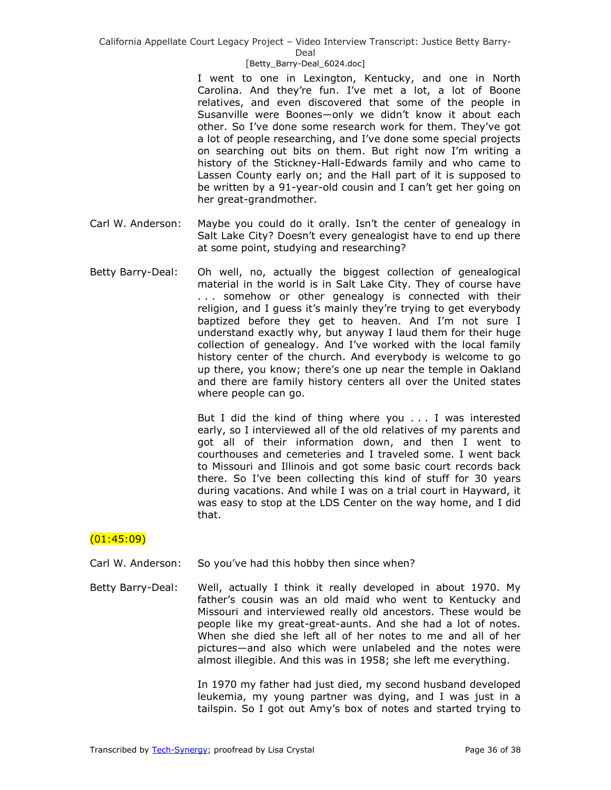Deal

#### [Betty\_Barry-Deal\_6024.doc]

I went to one in Lexington, Kentucky, and one in North Carolina. And they're fun. I've met a lot, a lot of Boone relatives, and even discovered that some of the people in Susanville were Boones—only we didn't know it about each other. So I've done some research work for them. They've got a lot of people researching, and I've done some special projects on searching out bits on them. But right now I'm writing a history of the Stickney-Hall-Edwards family and who came to Lassen County early on; and the Hall part of it is supposed to be written by a 91-year-old cousin and I can't get her going on her great-grandmother.

- Carl W. Anderson: Maybe you could do it orally. Isn't the center of genealogy in Salt Lake City? Doesn't every genealogist have to end up there at some point, studying and researching?
- Betty Barry-Deal: Oh well, no, actually the biggest collection of genealogical material in the world is in Salt Lake City. They of course have . . . somehow or other genealogy is connected with their religion, and I guess it's mainly they're trying to get everybody baptized before they get to heaven. And I'm not sure I understand exactly why, but anyway I laud them for their huge collection of genealogy. And I've worked with the local family history center of the church. And everybody is welcome to go up there, you know; there's one up near the temple in Oakland and there are family history centers all over the United states where people can go.

But I did the kind of thing where you . . . I was interested early, so I interviewed all of the old relatives of my parents and got all of their information down, and then I went to courthouses and cemeteries and I traveled some. I went back to Missouri and Illinois and got some basic court records back there. So I've been collecting this kind of stuff for 30 years during vacations. And while I was on a trial court in Hayward, it was easy to stop at the LDS Center on the way home, and I did that.

# $(01:45:09)$

- Carl W. Anderson: So you've had this hobby then since when?
- Betty Barry-Deal: Well, actually I think it really developed in about 1970. My father's cousin was an old maid who went to Kentucky and Missouri and interviewed really old ancestors. These would be people like my great-great-aunts. And she had a lot of notes. When she died she left all of her notes to me and all of her pictures—and also which were unlabeled and the notes were almost illegible. And this was in 1958; she left me everything.

In 1970 my father had just died, my second husband developed leukemia, my young partner was dying, and I was just in a tailspin. So I got out Amy's box of notes and started trying to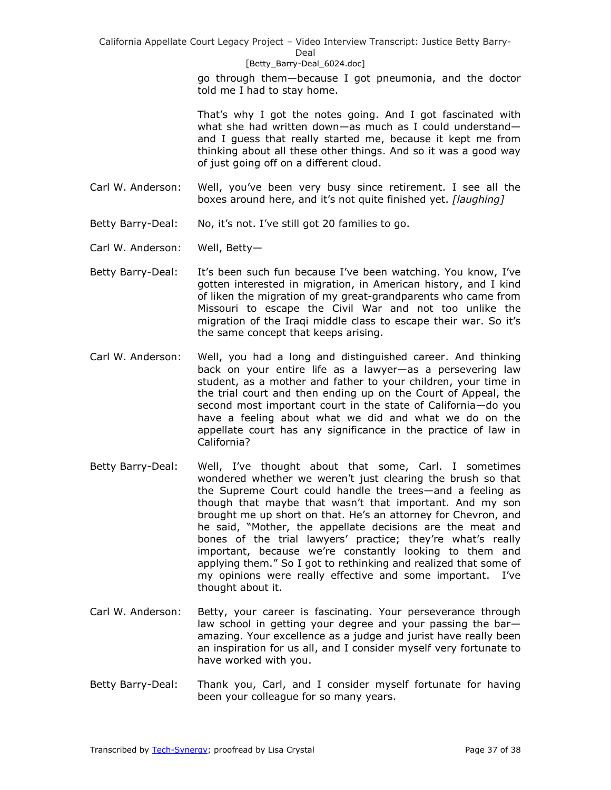#### [Betty\_Barry-Deal\_6024.doc]

go through them—because I got pneumonia, and the doctor told me I had to stay home.

That's why I got the notes going. And I got fascinated with what she had written down—as much as I could understand and I guess that really started me, because it kept me from thinking about all these other things. And so it was a good way of just going off on a different cloud.

- Carl W. Anderson: Well, you've been very busy since retirement. I see all the boxes around here, and it's not quite finished yet. *[laughing]*
- Betty Barry-Deal: No, it's not. I've still got 20 families to go.
- Carl W. Anderson: Well, Betty—
- Betty Barry-Deal: It's been such fun because I've been watching. You know, I've gotten interested in migration, in American history, and I kind of liken the migration of my great-grandparents who came from Missouri to escape the Civil War and not too unlike the migration of the Iraqi middle class to escape their war. So it's the same concept that keeps arising.
- Carl W. Anderson: Well, you had a long and distinguished career. And thinking back on your entire life as a lawyer—as a persevering law student, as a mother and father to your children, your time in the trial court and then ending up on the Court of Appeal, the second most important court in the state of California—do you have a feeling about what we did and what we do on the appellate court has any significance in the practice of law in California?
- Betty Barry-Deal: Well, I've thought about that some, Carl. I sometimes wondered whether we weren't just clearing the brush so that the Supreme Court could handle the trees—and a feeling as though that maybe that wasn't that important. And my son brought me up short on that. He's an attorney for Chevron, and he said, "Mother, the appellate decisions are the meat and bones of the trial lawyers' practice; they're what's really important, because we're constantly looking to them and applying them." So I got to rethinking and realized that some of my opinions were really effective and some important. I've thought about it.
- Carl W. Anderson: Betty, your career is fascinating. Your perseverance through law school in getting your degree and your passing the bar amazing. Your excellence as a judge and jurist have really been an inspiration for us all, and I consider myself very fortunate to have worked with you.
- Betty Barry-Deal: Thank you, Carl, and I consider myself fortunate for having been your colleague for so many years.